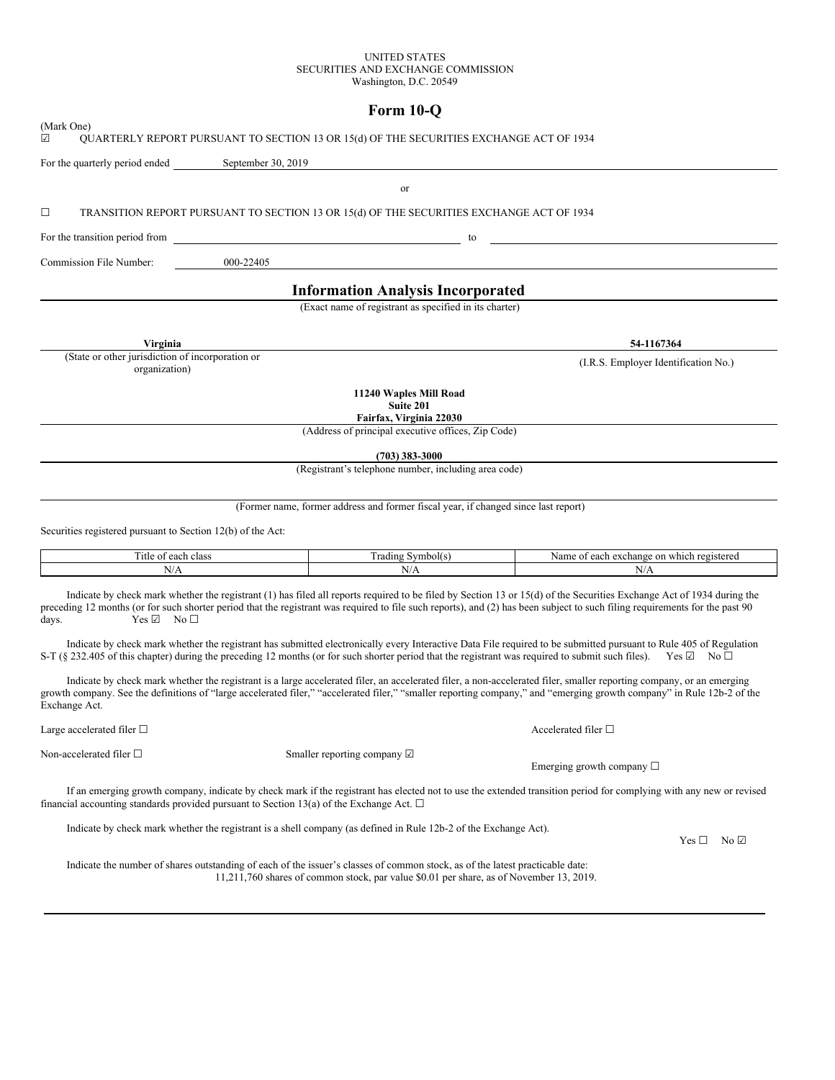### UNITED STATES SECURITIES AND EXCHANGE COMMISSION Washington, D.C. 20549

|                                                                                               |                    | Form 10-Q                                                                                                                                                                                                                                                                                                                                             |                                |                                                     |
|-----------------------------------------------------------------------------------------------|--------------------|-------------------------------------------------------------------------------------------------------------------------------------------------------------------------------------------------------------------------------------------------------------------------------------------------------------------------------------------------------|--------------------------------|-----------------------------------------------------|
| (Mark One)<br>☑                                                                               |                    | QUARTERLY REPORT PURSUANT TO SECTION 13 OR 15(d) OF THE SECURITIES EXCHANGE ACT OF 1934                                                                                                                                                                                                                                                               |                                |                                                     |
| For the quarterly period ended                                                                | September 30, 2019 |                                                                                                                                                                                                                                                                                                                                                       |                                |                                                     |
|                                                                                               |                    | or                                                                                                                                                                                                                                                                                                                                                    |                                |                                                     |
| $\Box$                                                                                        |                    | TRANSITION REPORT PURSUANT TO SECTION 13 OR 15(d) OF THE SECURITIES EXCHANGE ACT OF 1934                                                                                                                                                                                                                                                              |                                |                                                     |
| For the transition period from                                                                |                    | to                                                                                                                                                                                                                                                                                                                                                    |                                |                                                     |
| Commission File Number:                                                                       | 000-22405          |                                                                                                                                                                                                                                                                                                                                                       |                                |                                                     |
|                                                                                               |                    | <b>Information Analysis Incorporated</b>                                                                                                                                                                                                                                                                                                              |                                |                                                     |
|                                                                                               |                    | (Exact name of registrant as specified in its charter)                                                                                                                                                                                                                                                                                                |                                |                                                     |
| Virginia                                                                                      |                    |                                                                                                                                                                                                                                                                                                                                                       |                                | 54-1167364                                          |
| (State or other jurisdiction of incorporation or<br>organization)                             |                    |                                                                                                                                                                                                                                                                                                                                                       |                                | (I.R.S. Employer Identification No.)                |
|                                                                                               |                    | 11240 Waples Mill Road                                                                                                                                                                                                                                                                                                                                |                                |                                                     |
|                                                                                               |                    | Suite 201<br>Fairfax, Virginia 22030                                                                                                                                                                                                                                                                                                                  |                                |                                                     |
|                                                                                               |                    | (Address of principal executive offices, Zip Code)                                                                                                                                                                                                                                                                                                    |                                |                                                     |
|                                                                                               |                    | $(703)$ 383-3000                                                                                                                                                                                                                                                                                                                                      |                                |                                                     |
|                                                                                               |                    | (Registrant's telephone number, including area code)                                                                                                                                                                                                                                                                                                  |                                |                                                     |
|                                                                                               |                    |                                                                                                                                                                                                                                                                                                                                                       |                                |                                                     |
|                                                                                               |                    | (Former name, former address and former fiscal year, if changed since last report)                                                                                                                                                                                                                                                                    |                                |                                                     |
| Securities registered pursuant to Section 12(b) of the Act:                                   |                    |                                                                                                                                                                                                                                                                                                                                                       |                                |                                                     |
| Title of each class                                                                           |                    | Trading Symbol(s)                                                                                                                                                                                                                                                                                                                                     |                                | Name of each exchange on which registered           |
| N/A                                                                                           |                    | N/A                                                                                                                                                                                                                                                                                                                                                   |                                | N/A                                                 |
| $Yes \ \n\mathbb{Z} \quad No \ \Box$<br>days.                                                 |                    | Indicate by check mark whether the registrant (1) has filed all reports required to be filed by Section 13 or 15(d) of the Securities Exchange Act of 1934 during the<br>preceding 12 months (or for such shorter period that the registrant was required to file such reports), and (2) has been subject to such filing requirements for the past 90 |                                |                                                     |
|                                                                                               |                    | Indicate by check mark whether the registrant has submitted electronically every Interactive Data File required to be submitted pursuant to Rule 405 of Regulation<br>S-T (§ 232.405 of this chapter) during the preceding 12 months (or for such shorter period that the registrant was required to submit such files).                              |                                | $Yes \Box No \Box$                                  |
| Exchange Act.                                                                                 |                    | Indicate by check mark whether the registrant is a large accelerated filer, an accelerated filer, a non-accelerated filer, smaller reporting company, or an emerging<br>growth company. See the definitions of "large accelerated filer," "accelerated filer," "smaller reporting company," and "emerging growth company" in Rule 12b-2 of the        |                                |                                                     |
| Large accelerated filer $\square$                                                             |                    |                                                                                                                                                                                                                                                                                                                                                       | Accelerated filer $\Box$       |                                                     |
| Non-accelerated filer $\square$                                                               |                    | Smaller reporting company ☑                                                                                                                                                                                                                                                                                                                           | Emerging growth company $\Box$ |                                                     |
| financial accounting standards provided pursuant to Section 13(a) of the Exchange Act. $\Box$ |                    | If an emerging growth company, indicate by check mark if the registrant has elected not to use the extended transition period for complying with any new or revised                                                                                                                                                                                   |                                |                                                     |
|                                                                                               |                    | Indicate by check mark whether the registrant is a shell company (as defined in Rule 12b-2 of the Exchange Act).                                                                                                                                                                                                                                      |                                | Yes $\Box$<br>$\mathrm{No} \ \overline{\mathbb{Z}}$ |
|                                                                                               |                    | Indicate the number of shares outstanding of each of the issuer's classes of common stock, as of the latest practicable date:<br>$11,211,760$ shares of common stock, par value \$0.01 per share, as of November 13, 2019.                                                                                                                            |                                |                                                     |
|                                                                                               |                    |                                                                                                                                                                                                                                                                                                                                                       |                                |                                                     |
|                                                                                               |                    |                                                                                                                                                                                                                                                                                                                                                       |                                |                                                     |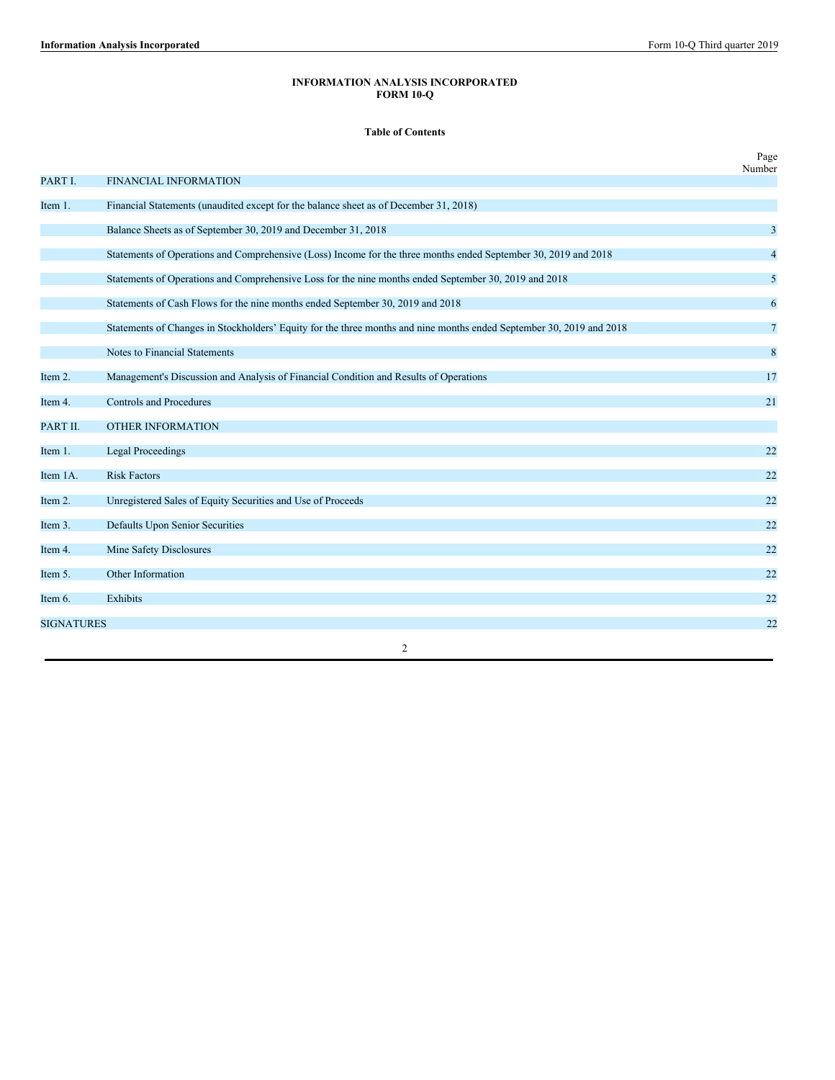### **INFORMATION ANALYSIS INCORPORATED FORM 10-Q**

# **Table of Contents**

|                   |                                                                                                                      | Page<br>Number           |
|-------------------|----------------------------------------------------------------------------------------------------------------------|--------------------------|
| PART I.           | FINANCIAL INFORMATION                                                                                                |                          |
| Item 1.           | Financial Statements (unaudited except for the balance sheet as of December 31, 2018)                                |                          |
|                   | Balance Sheets as of September 30, 2019 and December 31, 2018                                                        | 3                        |
|                   | Statements of Operations and Comprehensive (Loss) Income for the three months ended September 30, 2019 and 2018      | $\overline{\mathcal{A}}$ |
|                   | Statements of Operations and Comprehensive Loss for the nine months ended September 30, 2019 and 2018                | 5                        |
|                   | Statements of Cash Flows for the nine months ended September 30, 2019 and 2018                                       | 6                        |
|                   | Statements of Changes in Stockholders' Equity for the three months and nine months ended September 30, 2019 and 2018 | $\overline{7}$           |
|                   | Notes to Financial Statements                                                                                        | 8                        |
| Item 2.           | Management's Discussion and Analysis of Financial Condition and Results of Operations                                | 17                       |
| Item 4.           | <b>Controls and Procedures</b>                                                                                       | 21                       |
| PART II.          | OTHER INFORMATION                                                                                                    |                          |
| Item 1.           | <b>Legal Proceedings</b>                                                                                             | 22                       |
| Item 1A.          | <b>Risk Factors</b>                                                                                                  | 22                       |
| Item 2.           | Unregistered Sales of Equity Securities and Use of Proceeds                                                          | 22                       |
| Item 3.           | Defaults Upon Senior Securities                                                                                      | 22                       |
| Item 4.           | Mine Safety Disclosures                                                                                              | 22                       |
| Item 5.           | Other Information                                                                                                    | 22                       |
| Item 6.           | Exhibits                                                                                                             | 22                       |
| <b>SIGNATURES</b> |                                                                                                                      | 22                       |
|                   | 2                                                                                                                    |                          |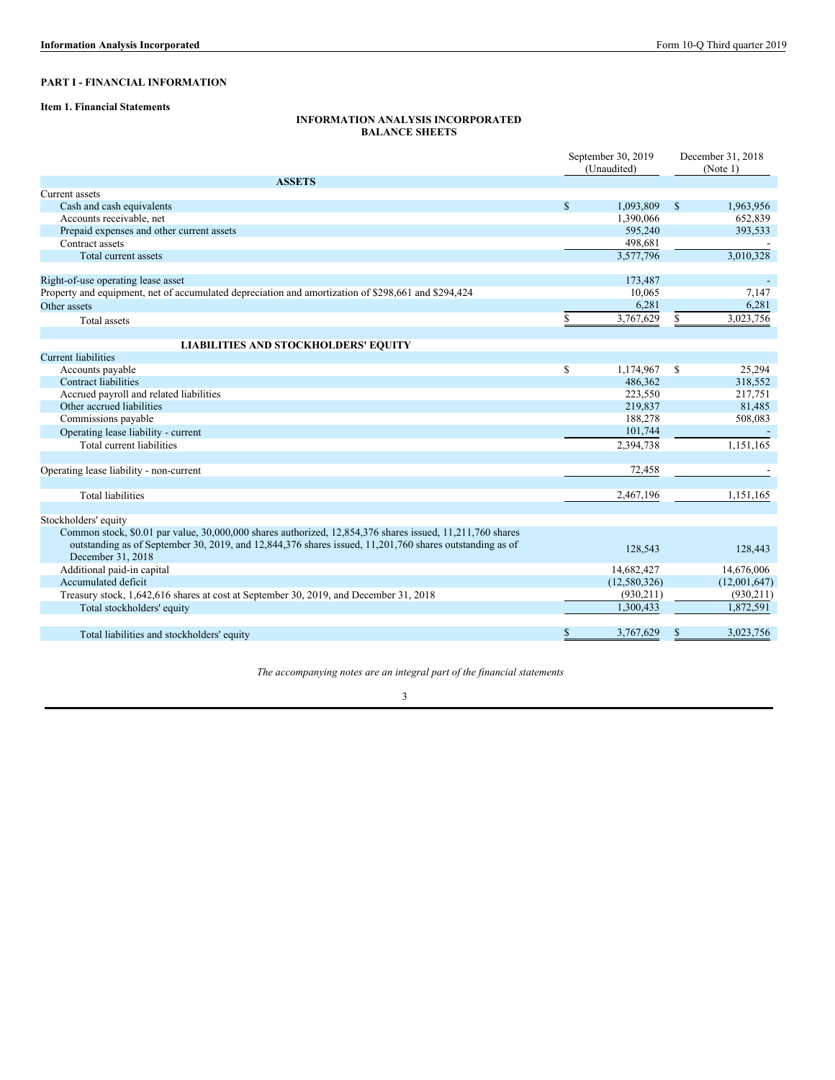# **PART I - FINANCIAL INFORMATION**

# **Item 1. Financial Statements**

# **INFORMATION ANALYSIS INCORPORATED BALANCE SHEETS**

|                                                                                                                                                                                                                                           | September 30, 2019 |              |              | December 31, 2018 |  |
|-------------------------------------------------------------------------------------------------------------------------------------------------------------------------------------------------------------------------------------------|--------------------|--------------|--------------|-------------------|--|
|                                                                                                                                                                                                                                           | (Unaudited)        |              |              | (Note 1)          |  |
| <b>ASSETS</b>                                                                                                                                                                                                                             |                    |              |              |                   |  |
| Current assets                                                                                                                                                                                                                            |                    |              |              |                   |  |
| Cash and cash equivalents                                                                                                                                                                                                                 | $\mathbb{S}$       | 1,093,809    | $\mathbf S$  | 1,963,956         |  |
| Accounts receivable, net                                                                                                                                                                                                                  |                    | 1.390.066    |              | 652,839           |  |
| Prepaid expenses and other current assets                                                                                                                                                                                                 |                    | 595,240      |              | 393,533           |  |
| Contract assets                                                                                                                                                                                                                           |                    | 498,681      |              |                   |  |
| Total current assets                                                                                                                                                                                                                      |                    | 3,577,796    |              | 3,010,328         |  |
| Right-of-use operating lease asset                                                                                                                                                                                                        |                    | 173,487      |              |                   |  |
| Property and equipment, net of accumulated depreciation and amortization of \$298,661 and \$294,424                                                                                                                                       |                    | 10,065       |              | 7,147             |  |
| Other assets                                                                                                                                                                                                                              |                    | 6,281        |              | 6,281             |  |
| <b>Total</b> assets                                                                                                                                                                                                                       | \$                 | 3,767,629    | S            | 3,023,756         |  |
| <b>LIABILITIES AND STOCKHOLDERS' EQUITY</b>                                                                                                                                                                                               |                    |              |              |                   |  |
| <b>Current liabilities</b>                                                                                                                                                                                                                |                    |              |              |                   |  |
| Accounts payable                                                                                                                                                                                                                          | \$                 | 1,174,967    | $\mathbb{S}$ | 25,294            |  |
| <b>Contract liabilities</b>                                                                                                                                                                                                               |                    | 486,362      |              | 318,552           |  |
| Accrued payroll and related liabilities                                                                                                                                                                                                   |                    | 223,550      |              | 217,751           |  |
| Other accrued liabilities                                                                                                                                                                                                                 |                    | 219,837      |              | 81,485            |  |
| Commissions payable                                                                                                                                                                                                                       |                    | 188,278      |              | 508,083           |  |
| Operating lease liability - current                                                                                                                                                                                                       |                    | 101,744      |              |                   |  |
| Total current liabilities                                                                                                                                                                                                                 |                    | 2,394,738    |              | 1,151,165         |  |
|                                                                                                                                                                                                                                           |                    |              |              |                   |  |
| Operating lease liability - non-current                                                                                                                                                                                                   |                    | 72,458       |              |                   |  |
| <b>Total liabilities</b>                                                                                                                                                                                                                  |                    | 2,467,196    |              | 1,151,165         |  |
|                                                                                                                                                                                                                                           |                    |              |              |                   |  |
| Stockholders' equity                                                                                                                                                                                                                      |                    |              |              |                   |  |
| Common stock, \$0.01 par value, 30,000,000 shares authorized, 12,854,376 shares issued, 11,211,760 shares<br>outstanding as of September 30, 2019, and 12,844,376 shares issued, 11,201,760 shares outstanding as of<br>December 31, 2018 |                    | 128,543      |              | 128,443           |  |
| Additional paid-in capital                                                                                                                                                                                                                |                    | 14,682,427   |              | 14,676,006        |  |
| Accumulated deficit                                                                                                                                                                                                                       |                    | (12,580,326) |              | (12,001,647)      |  |
| Treasury stock, 1,642,616 shares at cost at September 30, 2019, and December 31, 2018                                                                                                                                                     |                    | (930, 211)   |              | (930, 211)        |  |
| Total stockholders' equity                                                                                                                                                                                                                |                    | 1,300,433    |              | 1,872,591         |  |
|                                                                                                                                                                                                                                           |                    |              |              |                   |  |
| Total liabilities and stockholders' equity                                                                                                                                                                                                | \$                 | 3,767,629    | S            | 3,023,756         |  |

*The accompanying notes are an integral part of the financial statements*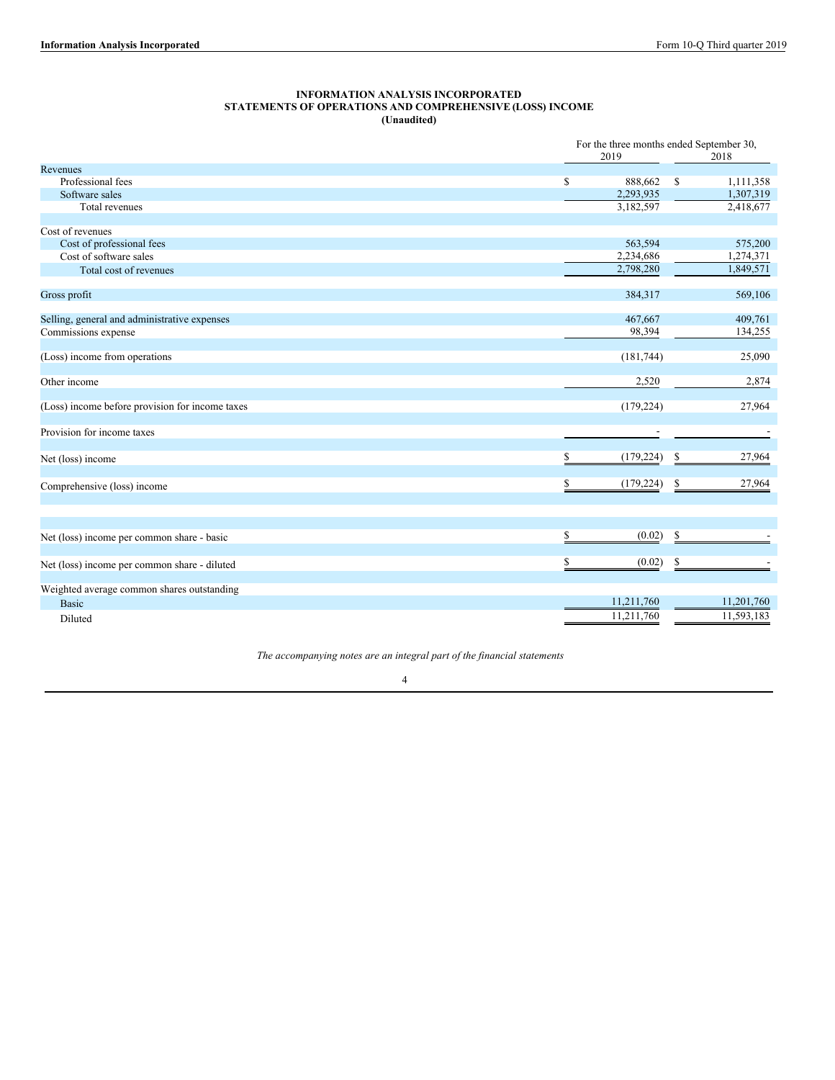### **INFORMATION ANALYSIS INCORPORATED STATEMENTS OF OPERATIONS AND COMPREHENSIVE (LOSS) INCOME (Unaudited)**

|                                                 | 2019       | For the three months ended September 30,<br>2018 |
|-------------------------------------------------|------------|--------------------------------------------------|
| Revenues                                        |            |                                                  |
| Professional fees                               | \$         | 888,662<br>S<br>1,111,358                        |
| Software sales                                  |            | 2,293,935<br>1,307,319                           |
| Total revenues                                  |            | 3,182,597<br>2,418,677                           |
| Cost of revenues                                |            |                                                  |
| Cost of professional fees                       |            | 563,594<br>575,200                               |
| Cost of software sales                          |            | 2,234,686<br>1,274,371                           |
| Total cost of revenues                          |            | 2,798,280<br>1,849,571                           |
| Gross profit                                    |            | 569,106<br>384,317                               |
| Selling, general and administrative expenses    |            | 467,667<br>409,761                               |
| Commissions expense                             |            | 98,394<br>134,255                                |
|                                                 |            |                                                  |
| (Loss) income from operations                   |            | (181, 744)<br>25,090                             |
| Other income                                    |            | 2,520<br>2,874                                   |
| (Loss) income before provision for income taxes |            | (179, 224)<br>27,964                             |
| Provision for income taxes                      |            |                                                  |
| Net (loss) income                               | S          | (179, 224)<br>27,964<br>S                        |
| Comprehensive (loss) income                     | S          | 27,964<br>(179, 224)                             |
|                                                 |            |                                                  |
| Net (loss) income per common share - basic      | S          | (0.02)<br>$\mathbb{S}$                           |
| Net (loss) income per common share - diluted    | \$         | (0.02)<br>S                                      |
| Weighted average common shares outstanding      |            |                                                  |
| <b>Basic</b>                                    |            | 11,211,760<br>11,201,760                         |
|                                                 | 11,211,760 | 11,593,183                                       |
| Diluted                                         |            |                                                  |

*The accompanying notes are an integral part of the financial statements*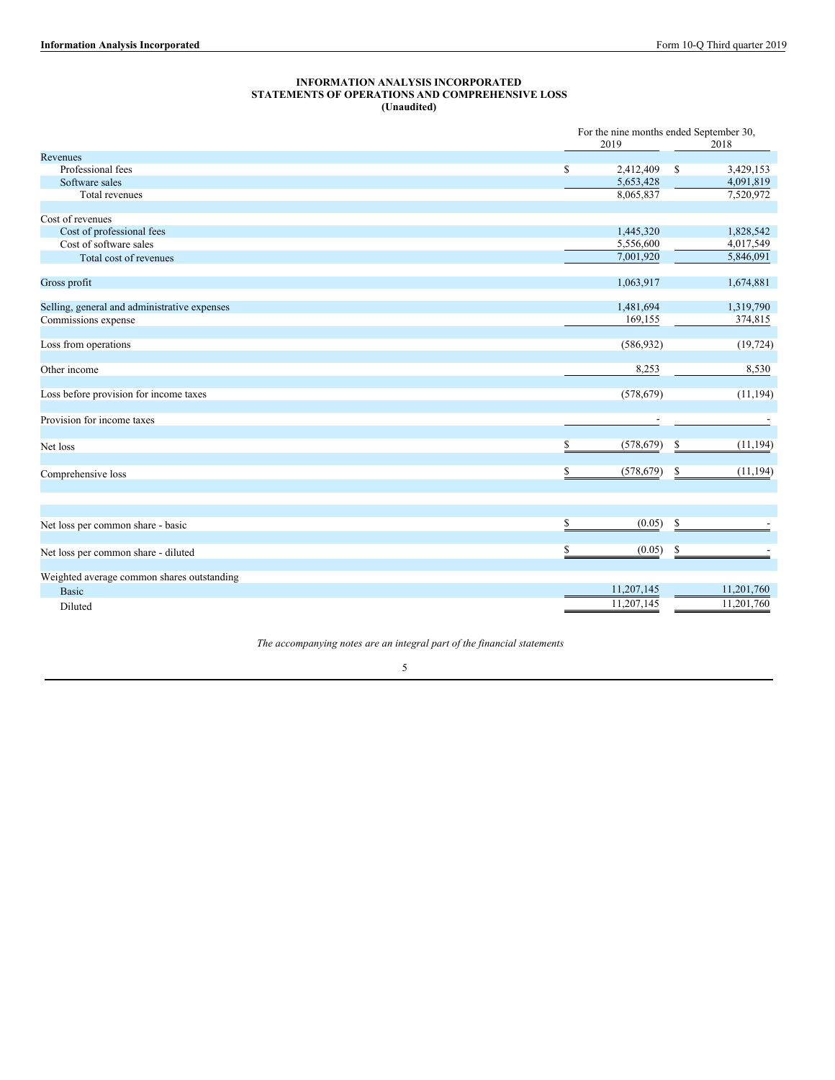### **INFORMATION ANALYSIS INCORPORATED STATEMENTS OF OPERATIONS AND COMPREHENSIVE LOSS (Unaudited)**

|                                              | 2019 | For the nine months ended September 30,<br>2018 |
|----------------------------------------------|------|-------------------------------------------------|
| Revenues                                     |      |                                                 |
| Professional fees                            | \$   | 2,412,409<br>S<br>3,429,153                     |
| Software sales                               |      | 5,653,428<br>4,091,819                          |
| Total revenues                               |      | 8,065,837<br>7,520,972                          |
| Cost of revenues                             |      |                                                 |
| Cost of professional fees                    |      | 1,445,320<br>1,828,542                          |
| Cost of software sales                       |      | 5,556,600<br>4,017,549                          |
| Total cost of revenues                       |      | 7,001,920<br>5,846,091                          |
| Gross profit                                 |      | 1,063,917<br>1,674,881                          |
| Selling, general and administrative expenses |      | 1,481,694<br>1,319,790                          |
| Commissions expense                          |      | 169,155<br>374,815                              |
| Loss from operations                         |      | (586, 932)<br>(19, 724)                         |
| Other income                                 |      | 8,253<br>8,530                                  |
| Loss before provision for income taxes       |      | (578, 679)<br>(11, 194)                         |
| Provision for income taxes                   |      |                                                 |
| Net loss                                     | S    | (578, 679)<br>(11, 194)<br>S                    |
| Comprehensive loss                           | \$   | (578, 679)<br>(11, 194)<br>S                    |
|                                              | \$   | \$<br>(0.05)                                    |
| Net loss per common share - basic            |      |                                                 |
| Net loss per common share - diluted          | \$   | (0.05)<br>S                                     |
| Weighted average common shares outstanding   |      |                                                 |
| <b>Basic</b>                                 |      | 11,207,145<br>11,201,760                        |
| Diluted                                      |      | 11,201,760<br>11,207,145                        |

*The accompanying notes are an integral part of the financial statements*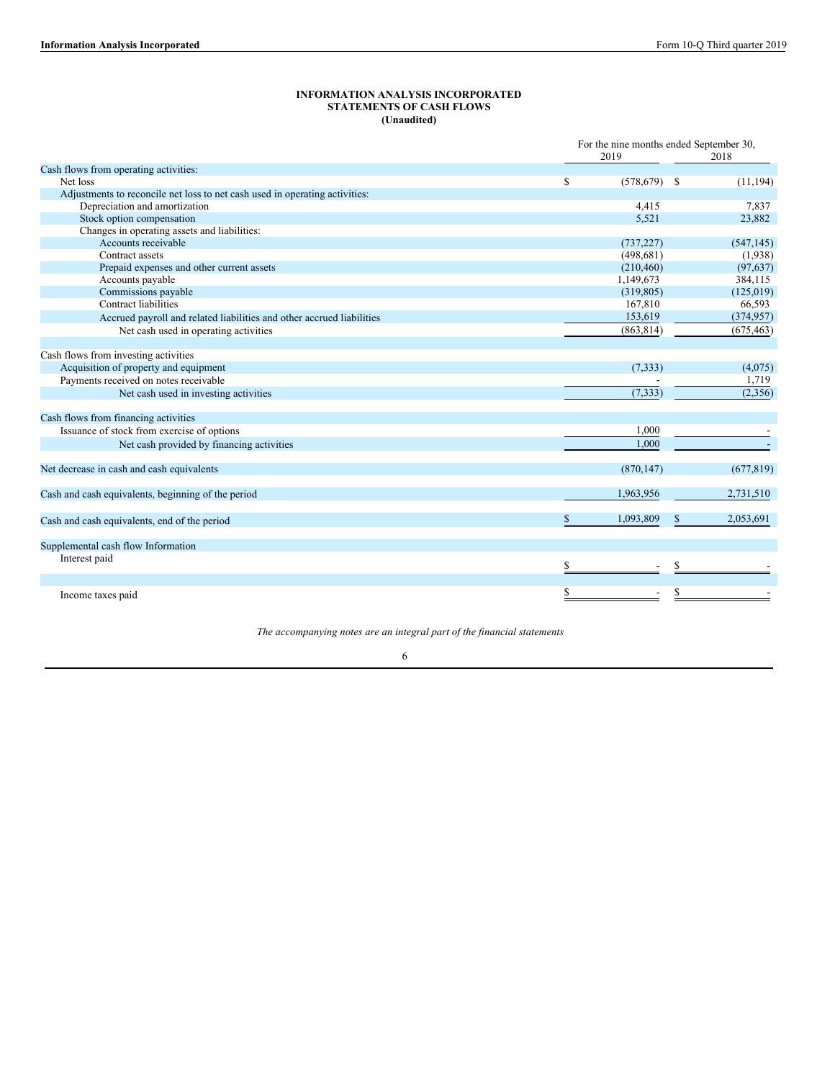### **INFORMATION ANALYSIS INCORPORATED STATEMENTS OF CASH FLOWS (Unaudited)**

|                                                                             |      | For the nine months ended September 30, |            |  |
|-----------------------------------------------------------------------------|------|-----------------------------------------|------------|--|
|                                                                             | 2019 |                                         | 2018       |  |
| Cash flows from operating activities:                                       |      |                                         |            |  |
| Net loss                                                                    | \$   | $(578, 679)$ \$                         | (11, 194)  |  |
| Adjustments to reconcile net loss to net cash used in operating activities: |      |                                         |            |  |
| Depreciation and amortization                                               |      | 4,415                                   | 7,837      |  |
| Stock option compensation                                                   |      | 5,521                                   | 23,882     |  |
| Changes in operating assets and liabilities:                                |      |                                         |            |  |
| Accounts receivable                                                         |      | (737, 227)                              | (547, 145) |  |
| Contract assets                                                             |      | (498, 681)                              | (1,938)    |  |
| Prepaid expenses and other current assets                                   |      | (210, 460)                              | (97, 637)  |  |
| Accounts payable                                                            |      | 1,149,673                               | 384,115    |  |
| Commissions payable                                                         |      | (319, 805)                              | (125,019)  |  |
| Contract liabilities                                                        |      | 167,810                                 | 66,593     |  |
| Accrued payroll and related liabilities and other accrued liabilities       |      | 153,619                                 | (374, 957) |  |
| Net cash used in operating activities                                       |      | (863, 814)                              | (675, 463) |  |
|                                                                             |      |                                         |            |  |
| Cash flows from investing activities                                        |      |                                         |            |  |
| Acquisition of property and equipment                                       |      | (7, 333)                                | (4,075)    |  |
| Payments received on notes receivable                                       |      |                                         | 1,719      |  |
| Net cash used in investing activities                                       |      | (7, 333)                                | (2,356)    |  |
|                                                                             |      |                                         |            |  |
| Cash flows from financing activities                                        |      |                                         |            |  |
| Issuance of stock from exercise of options                                  |      | 1,000                                   |            |  |
| Net cash provided by financing activities                                   |      | 1.000                                   |            |  |
|                                                                             |      |                                         |            |  |
| Net decrease in cash and cash equivalents                                   |      | (870, 147)                              | (677, 819) |  |
|                                                                             |      |                                         |            |  |
| Cash and cash equivalents, beginning of the period                          |      | 1,963,956                               | 2,731,510  |  |
|                                                                             |      |                                         |            |  |
| Cash and cash equivalents, end of the period                                | S    | 1,093,809                               | 2,053,691  |  |
|                                                                             |      |                                         |            |  |
| Supplemental cash flow Information                                          |      |                                         |            |  |
| Interest paid                                                               |      |                                         |            |  |
|                                                                             | S    |                                         |            |  |
|                                                                             |      |                                         |            |  |
| Income taxes paid                                                           |      |                                         |            |  |
|                                                                             |      |                                         |            |  |

*The accompanying notes are an integral part of the financial statements*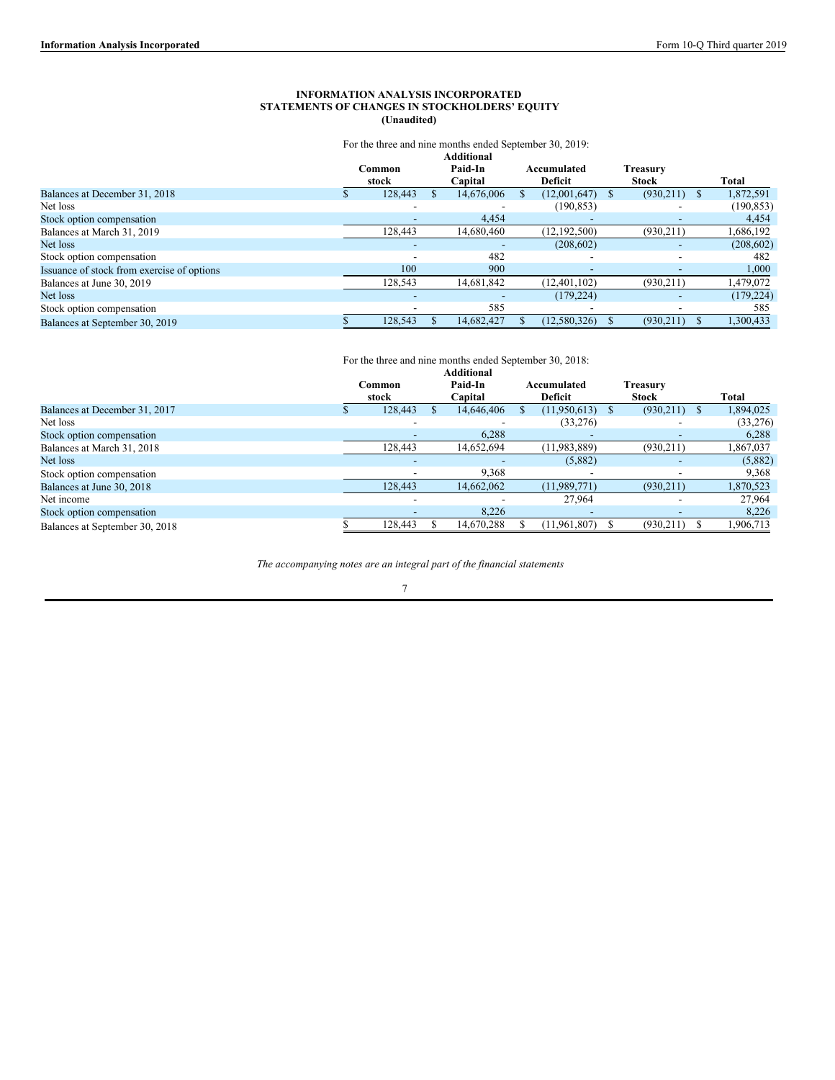### **INFORMATION ANALYSIS INCORPORATED STATEMENTS OF CHANGES IN STOCKHOLDERS' EQUITY (Unaudited)**

For the three and nine months ended September 30, 2019:

|                                            |                          | <b>Additional</b> |                |                          |            |
|--------------------------------------------|--------------------------|-------------------|----------------|--------------------------|------------|
|                                            | Common                   | Paid-In           | Accumulated    | <b>Treasury</b>          |            |
|                                            | stock                    | Capital           | Deficit        | <b>Stock</b>             | Total      |
| Balances at December 31, 2018              | 128,443                  | 14,676,006        | (12,001,647)   | (930,211)                | 1,872,591  |
| Net loss                                   |                          |                   | (190, 853)     |                          | (190, 853) |
| Stock option compensation                  |                          | 4,454             |                |                          | 4,454      |
| Balances at March 31, 2019                 | 128,443                  | 14,680,460        | (12, 192, 500) | (930, 211)               | 1,686,192  |
| Net loss                                   | -                        |                   | (208, 602)     | $\overline{\phantom{a}}$ | (208, 602) |
| Stock option compensation                  | $\overline{\phantom{a}}$ | 482               |                |                          | 482        |
| Issuance of stock from exercise of options | 100                      | 900               |                |                          | 1,000      |
| Balances at June 30, 2019                  | 128,543                  | 14.681.842        | (12, 401, 102) | (930, 211)               | 1,479,072  |
| Net loss                                   |                          |                   | (179.224)      |                          | (179, 224) |
| Stock option compensation                  |                          | 585               |                |                          | 585        |
| Balances at September 30, 2019             | 128,543                  | 14.682.427        | (12.580.326)   | (930, 211)               | 1,300,433  |

|                                |                   |         |  | For the three and nine months ended September 30, 2018: |  |                          |                 |           |
|--------------------------------|-------------------|---------|--|---------------------------------------------------------|--|--------------------------|-----------------|-----------|
|                                | <b>Additional</b> |         |  |                                                         |  |                          |                 |           |
|                                |                   | Common  |  | Paid-In                                                 |  | Accumulated              | <b>Treasury</b> |           |
|                                |                   | stock   |  | Capital                                                 |  | Deficit                  | <b>Stock</b>    | Total     |
| Balances at December 31, 2017  |                   | 128,443 |  | 14,646,406                                              |  | (11.950.613)             | (930,211)       | 1,894,025 |
| Net loss                       |                   |         |  |                                                         |  | (33, 276)                |                 | (33,276)  |
| Stock option compensation      |                   |         |  | 6.288                                                   |  |                          |                 | 6,288     |
| Balances at March 31, 2018     |                   | 128,443 |  | 14.652.694                                              |  | (11.983.889)             | (930,211)       | 1,867,037 |
| Net loss                       |                   |         |  |                                                         |  | (5,882)                  |                 | (5,882)   |
| Stock option compensation      |                   |         |  | 9.368                                                   |  |                          |                 | 9,368     |
| Balances at June 30, 2018      |                   | 128,443 |  | 14.662.062                                              |  | (11.989.771)             | (930.211)       | 1,870,523 |
| Net income                     |                   |         |  |                                                         |  | 27,964                   |                 | 27,964    |
| Stock option compensation      |                   |         |  | 8.226                                                   |  | $\overline{\phantom{a}}$ |                 | 8,226     |
| Balances at September 30, 2018 |                   | 128.443 |  | 14,670,288                                              |  | (11.961.807)             | (930, 211)      | 1,906,713 |

*The accompanying notes are an integral part of the financial statements*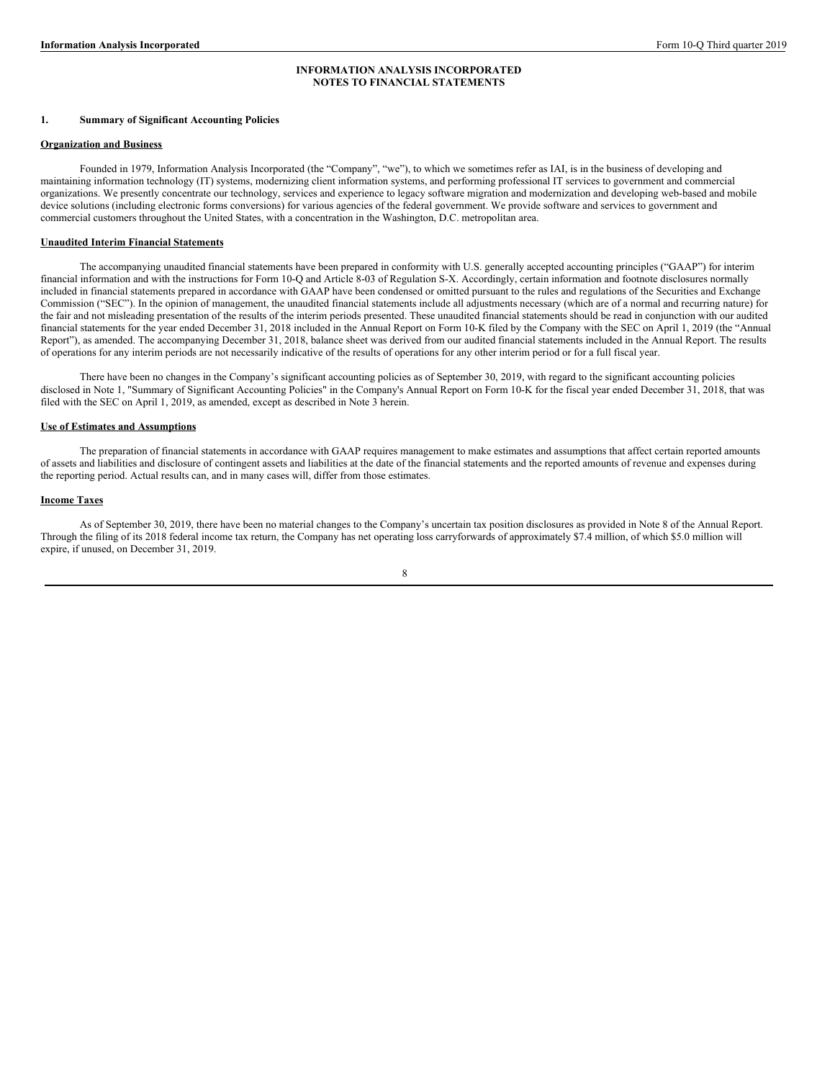### **INFORMATION ANALYSIS INCORPORATED NOTES TO FINANCIAL STATEMENTS**

### **1. Summary of Significant Accounting Policies**

### **Organization and Business**

Founded in 1979, Information Analysis Incorporated (the "Company", "we"), to which we sometimes refer as IAI, is in the business of developing and maintaining information technology (IT) systems, modernizing client information systems, and performing professional IT services to government and commercial organizations. We presently concentrate our technology, services and experience to legacy software migration and modernization and developing web-based and mobile device solutions (including electronic forms conversions) for various agencies of the federal government. We provide software and services to government and commercial customers throughout the United States, with a concentration in the Washington, D.C. metropolitan area.

# **Unaudited Interim Financial Statements**

The accompanying unaudited financial statements have been prepared in conformity with U.S. generally accepted accounting principles ("GAAP") for interim financial information and with the instructions for Form 10-Q and Article 8-03 of Regulation S-X. Accordingly, certain information and footnote disclosures normally included in financial statements prepared in accordance with GAAP have been condensed or omitted pursuant to the rules and regulations of the Securities and Exchange Commission ("SEC"). In the opinion of management, the unaudited financial statements include all adjustments necessary (which are of a normal and recurring nature) for the fair and not misleading presentation of the results of the interim periods presented. These unaudited financial statements should be read in conjunction with our audited financial statements for the year ended December 31, 2018 included in the Annual Report on Form 10-K filed by the Company with the SEC on April 1, 2019 (the "Annual Report"), as amended. The accompanying December 31, 2018, balance sheet was derived from our audited financial statements included in the Annual Report. The results of operations for any interim periods are not necessarily indicative of the results of operations for any other interim period or for a full fiscal year.

There have been no changes in the Company's significant accounting policies as of September 30, 2019, with regard to the significant accounting policies disclosed in Note 1, "Summary of Significant Accounting Policies" in the Company's Annual Report on Form 10-K for the fiscal year ended December 31, 2018, that was filed with the SEC on April 1, 2019, as amended, except as described in Note 3 herein.

# **Use of Estimates and Assumptions**

The preparation of financial statements in accordance with GAAP requires management to make estimates and assumptions that affect certain reported amounts of assets and liabilities and disclosure of contingent assets and liabilities at the date of the financial statements and the reported amounts of revenue and expenses during the reporting period. Actual results can, and in many cases will, differ from those estimates.

### **Income Taxes**

As of September 30, 2019, there have been no material changes to the Company's uncertain tax position disclosures as provided in Note 8 of the Annual Report. Through the filing of its 2018 federal income tax return, the Company has net operating loss carryforwards of approximately \$7.4 million, of which \$5.0 million will expire, if unused, on December 31, 2019.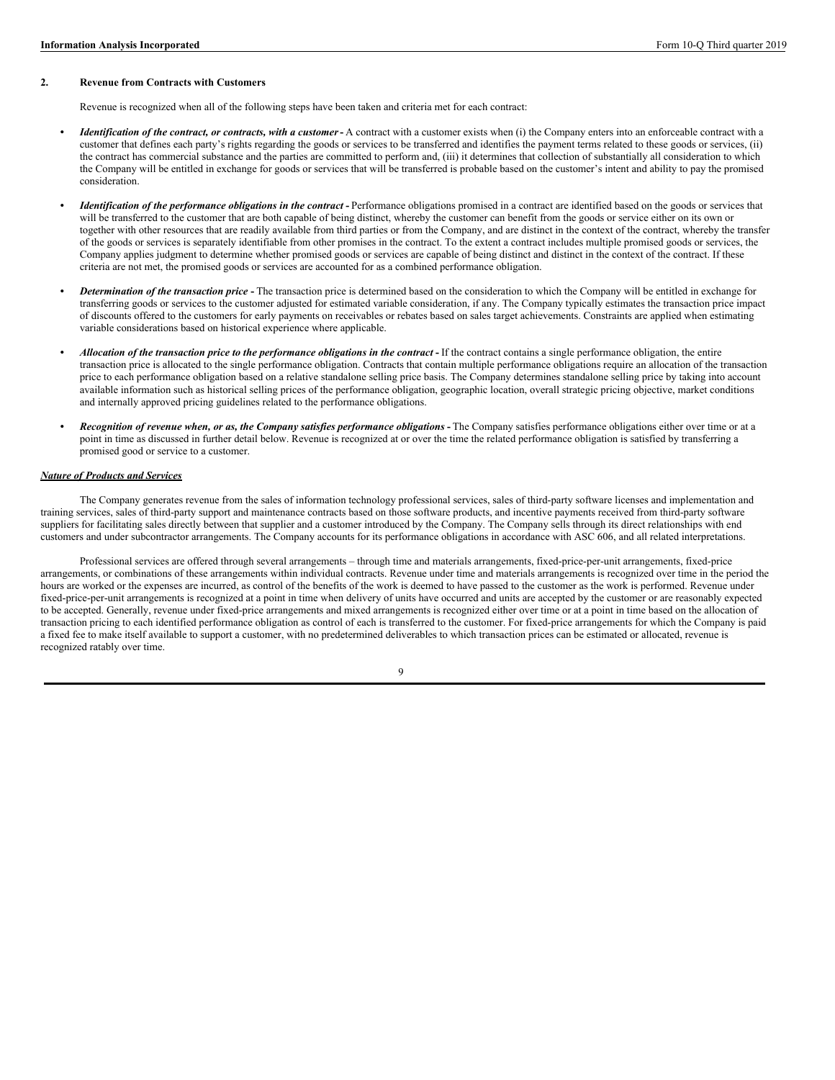### **2. Revenue from Contracts with Customers**

Revenue is recognized when all of the following steps have been taken and criteria met for each contract:

- Identification of the contract, or contracts, with a customer-A contract with a customer exists when (i) the Company enters into an enforceable contract with a customer that defines each party's rights regarding the goods or services to be transferred and identifies the payment terms related to these goods or services, (ii) the contract has commercial substance and the parties are committed to perform and, (iii) it determines that collection of substantially all consideration to which the Company will be entitled in exchange for goods or services that will be transferred is probable based on the customer's intent and ability to pay the promised consideration.
- *Identification of the performance obligations in the contract* Performance obligations promised in a contract are identified based on the goods or services that will be transferred to the customer that are both capable of being distinct, whereby the customer can benefit from the goods or service either on its own or together with other resources that are readily available from third parties or from the Company, and are distinct in the context of the contract, whereby the transfer of the goods or services is separately identifiable from other promises in the contract. To the extent a contract includes multiple promised goods or services, the Company applies judgment to determine whether promised goods or services are capable of being distinct and distinct in the context of the contract. If these criteria are not met, the promised goods or services are accounted for as a combined performance obligation.
- *• Determination of the transaction price* **-** The transaction price is determined based on the consideration to which the Company will be entitled in exchange for transferring goods or services to the customer adjusted for estimated variable consideration, if any. The Company typically estimates the transaction price impact of discounts offered to the customers for early payments on receivables or rebates based on sales target achievements. Constraints are applied when estimating variable considerations based on historical experience where applicable.
- Allocation of the transaction price to the performance obligations in the contract If the contract contains a single performance obligation, the entire transaction price is allocated to the single performance obligation. Contracts that contain multiple performance obligations require an allocation of the transaction price to each performance obligation based on a relative standalone selling price basis. The Company determines standalone selling price by taking into account available information such as historical selling prices of the performance obligation, geographic location, overall strategic pricing objective, market conditions and internally approved pricing guidelines related to the performance obligations.
- Recognition of revenue when, or as, the Company satisfies performance obligations The Company satisfies performance obligations either over time or at a point in time as discussed in further detail below. Revenue is recognized at or over the time the related performance obligation is satisfied by transferring a promised good or service to a customer.

### *Nature of Products and Services*

The Company generates revenue from the sales of information technology professional services, sales of third-party software licenses and implementation and training services, sales of third-party support and maintenance contracts based on those software products, and incentive payments received from third-party software suppliers for facilitating sales directly between that supplier and a customer introduced by the Company. The Company sells through its direct relationships with end customers and under subcontractor arrangements. The Company accounts for its performance obligations in accordance with ASC 606, and all related interpretations.

Professional services are offered through several arrangements – through time and materials arrangements, fixed-price-per-unit arrangements, fixed-price arrangements, or combinations of these arrangements within individual contracts. Revenue under time and materials arrangements is recognized over time in the period the hours are worked or the expenses are incurred, as control of the benefits of the work is deemed to have passed to the customer as the work is performed. Revenue under fixed-price-per-unit arrangements is recognized at a point in time when delivery of units have occurred and units are accepted by the customer or are reasonably expected to be accepted. Generally, revenue under fixed-price arrangements and mixed arrangements is recognized either over time or at a point in time based on the allocation of transaction pricing to each identified performance obligation as control of each is transferred to the customer. For fixed-price arrangements for which the Company is paid a fixed fee to make itself available to support a customer, with no predetermined deliverables to which transaction prices can be estimated or allocated, revenue is recognized ratably over time.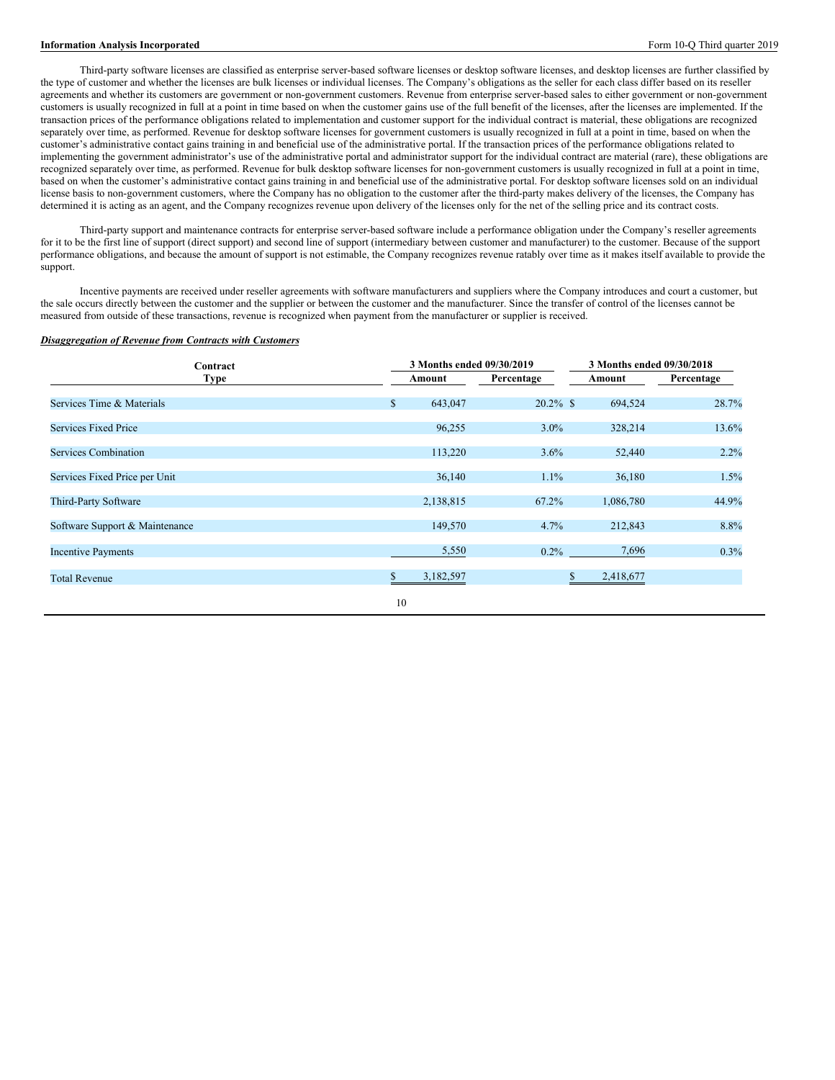# **Information Analysis Incorporated** Form 10-Q Third quarter 2019

Third-party software licenses are classified as enterprise server-based software licenses or desktop software licenses, and desktop licenses are further classified by the type of customer and whether the licenses are bulk licenses or individual licenses. The Company's obligations as the seller for each class differ based on its reseller agreements and whether its customers are government or non-government customers. Revenue from enterprise server-based sales to either government or non-government customers is usually recognized in full at a point in time based on when the customer gains use of the full benefit of the licenses, after the licenses are implemented. If the transaction prices of the performance obligations related to implementation and customer support for the individual contract is material, these obligations are recognized separately over time, as performed. Revenue for desktop software licenses for government customers is usually recognized in full at a point in time, based on when the customer's administrative contact gains training in and beneficial use of the administrative portal. If the transaction prices of the performance obligations related to implementing the government administrator's use of the administrative portal and administrator support for the individual contract are material (rare), these obligations are recognized separately over time, as performed. Revenue for bulk desktop software licenses for non-government customers is usually recognized in full at a point in time, based on when the customer's administrative contact gains training in and beneficial use of the administrative portal. For desktop software licenses sold on an individual license basis to non-government customers, where the Company has no obligation to the customer after the third-party makes delivery of the licenses, the Company has determined it is acting as an agent, and the Company recognizes revenue upon delivery of the licenses only for the net of the selling price and its contract costs.

Third-party support and maintenance contracts for enterprise server-based software include a performance obligation under the Company's reseller agreements for it to be the first line of support (direct support) and second line of support (intermediary between customer and manufacturer) to the customer. Because of the support performance obligations, and because the amount of support is not estimable, the Company recognizes revenue ratably over time as it makes itself available to provide the support.

Incentive payments are received under reseller agreements with software manufacturers and suppliers where the Company introduces and court a customer, but the sale occurs directly between the customer and the supplier or between the customer and the manufacturer. Since the transfer of control of the licenses cannot be measured from outside of these transactions, revenue is recognized when payment from the manufacturer or supplier is received.

### *Disaggregation of Revenue from Contracts with Customers*

| Contract                       |                         | 3 Months ended 09/30/2019 | 3 Months ended 09/30/2018 |            |  |  |
|--------------------------------|-------------------------|---------------------------|---------------------------|------------|--|--|
| <b>Type</b>                    | Amount                  | Percentage                | Amount                    | Percentage |  |  |
| Services Time & Materials      | 643,047<br>$\mathbb{S}$ | $20.2\%$ \$               | 694,524                   | 28.7%      |  |  |
| <b>Services Fixed Price</b>    | 96,255                  | $3.0\%$                   | 328,214                   | 13.6%      |  |  |
| <b>Services Combination</b>    | 113,220                 | 3.6%                      | 52,440                    | 2.2%       |  |  |
| Services Fixed Price per Unit  | 36,140                  | 1.1%                      | 36,180                    | 1.5%       |  |  |
| Third-Party Software           | 2,138,815               | 67.2%                     | 1,086,780                 | 44.9%      |  |  |
| Software Support & Maintenance | 149,570                 | 4.7%                      | 212,843                   | 8.8%       |  |  |
| <b>Incentive Payments</b>      | 5,550                   | 0.2%                      | 7,696                     | 0.3%       |  |  |
| <b>Total Revenue</b>           | 3,182,597               |                           | 2,418,677                 |            |  |  |
|                                | 10                      |                           |                           |            |  |  |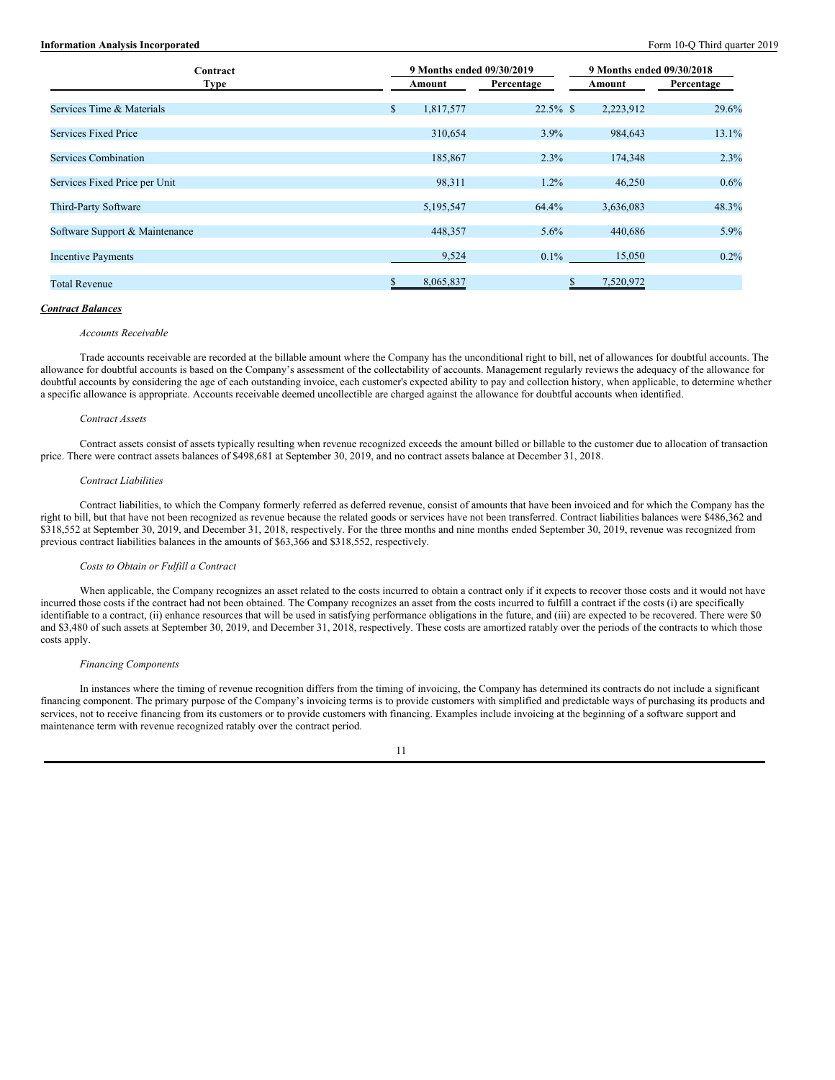### **Information Analysis Incorporated** Form 10-Q Third quarter 2019

| Contract                       | 9 Months ended 09/30/2019 |             | 9 Months ended 09/30/2018 |            |  |  |
|--------------------------------|---------------------------|-------------|---------------------------|------------|--|--|
| <b>Type</b>                    | Amount                    | Percentage  | Amount                    | Percentage |  |  |
| Services Time & Materials      | 1,817,577<br>\$           | $22.5\%$ \$ | 2,223,912                 | 29.6%      |  |  |
| <b>Services Fixed Price</b>    | 310,654                   | $3.9\%$     | 984,643                   | 13.1%      |  |  |
| <b>Services Combination</b>    | 185,867                   | $2.3\%$     | 174,348                   | 2.3%       |  |  |
| Services Fixed Price per Unit  | 98,311                    | 1.2%        | 46,250                    | 0.6%       |  |  |
| Third-Party Software           | 5,195,547                 | 64.4%       | 3,636,083                 | 48.3%      |  |  |
| Software Support & Maintenance | 448,357                   | 5.6%        | 440,686                   | 5.9%       |  |  |
| <b>Incentive Payments</b>      | 9,524                     | $0.1\%$     | 15,050                    | 0.2%       |  |  |
| <b>Total Revenue</b>           | 8,065,837                 |             | 7,520,972                 |            |  |  |

# *Contract Balances*

### *Accounts Receivable*

Trade accounts receivable are recorded at the billable amount where the Company has the unconditional right to bill, net of allowances for doubtful accounts. The allowance for doubtful accounts is based on the Company's assessment of the collectability of accounts. Management regularly reviews the adequacy of the allowance for doubtful accounts by considering the age of each outstanding invoice, each customer's expected ability to pay and collection history, when applicable, to determine whether a specific allowance is appropriate. Accounts receivable deemed uncollectible are charged against the allowance for doubtful accounts when identified.

### *Contract Assets*

Contract assets consist of assets typically resulting when revenue recognized exceeds the amount billed or billable to the customer due to allocation of transaction price. There were contract assets balances of \$498,681 at September 30, 2019, and no contract assets balance at December 31, 2018.

### *Contract Liabilities*

Contract liabilities, to which the Company formerly referred as deferred revenue, consist of amounts that have been invoiced and for which the Company has the right to bill, but that have not been recognized as revenue because the related goods or services have not been transferred. Contract liabilities balances were \$486,362 and \$318,552 at September 30, 2019, and December 31, 2018, respectively. For the three months and nine months ended September 30, 2019, revenue was recognized from previous contract liabilities balances in the amounts of \$63,366 and \$318,552, respectively.

# *Costs to Obtain or Fulfill a Contract*

When applicable, the Company recognizes an asset related to the costs incurred to obtain a contract only if it expects to recover those costs and it would not have incurred those costs if the contract had not been obtained. The Company recognizes an asset from the costs incurred to fulfill a contract if the costs (i) are specifically identifiable to a contract, (ii) enhance resources that will be used in satisfying performance obligations in the future, and (iii) are expected to be recovered. There were \$0 and \$3,480 of such assets at September 30, 2019, and December 31, 2018, respectively. These costs are amortized ratably over the periods of the contracts to which those costs apply.

#### *Financing Components*

In instances where the timing of revenue recognition differs from the timing of invoicing, the Company has determined its contracts do not include a significant financing component. The primary purpose of the Company's invoicing terms is to provide customers with simplified and predictable ways of purchasing its products and services, not to receive financing from its customers or to provide customers with financing. Examples include invoicing at the beginning of a software support and maintenance term with revenue recognized ratably over the contract period.

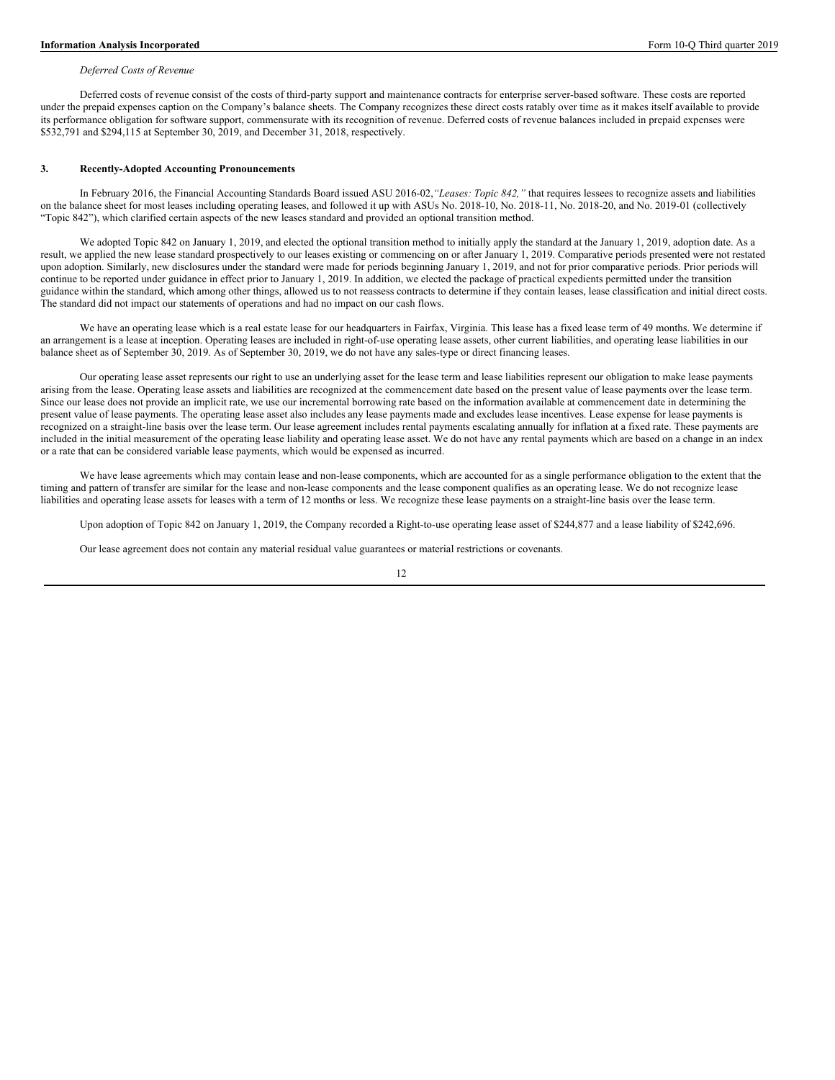#### *Deferred Costs of Revenue*

Deferred costs of revenue consist of the costs of third-party support and maintenance contracts for enterprise server-based software. These costs are reported under the prepaid expenses caption on the Company's balance sheets. The Company recognizes these direct costs ratably over time as it makes itself available to provide its performance obligation for software support, commensurate with its recognition of revenue. Deferred costs of revenue balances included in prepaid expenses were \$532,791 and \$294,115 at September 30, 2019, and December 31, 2018, respectively.

#### **3. Recently-Adopted Accounting Pronouncements**

In February 2016, the Financial Accounting Standards Board issued ASU 2016-02,*"Leases: Topic 842,"* that requires lessees to recognize assets and liabilities on the balance sheet for most leases including operating leases, and followed it up with ASUs No. 2018-10, No. 2018-11, No. 2018-20, and No. 2019-01 (collectively "Topic 842"), which clarified certain aspects of the new leases standard and provided an optional transition method.

We adopted Topic 842 on January 1, 2019, and elected the optional transition method to initially apply the standard at the January 1, 2019, adoption date. As a result, we applied the new lease standard prospectively to our leases existing or commencing on or after January 1, 2019. Comparative periods presented were not restated upon adoption. Similarly, new disclosures under the standard were made for periods beginning January 1, 2019, and not for prior comparative periods. Prior periods will continue to be reported under guidance in effect prior to January 1, 2019. In addition, we elected the package of practical expedients permitted under the transition guidance within the standard, which among other things, allowed us to not reassess contracts to determine if they contain leases, lease classification and initial direct costs. The standard did not impact our statements of operations and had no impact on our cash flows.

We have an operating lease which is a real estate lease for our headquarters in Fairfax, Virginia. This lease has a fixed lease term of 49 months. We determine if an arrangement is a lease at inception. Operating leases are included in right-of-use operating lease assets, other current liabilities, and operating lease liabilities in our balance sheet as of September 30, 2019. As of September 30, 2019, we do not have any sales-type or direct financing leases.

Our operating lease asset represents our right to use an underlying asset for the lease term and lease liabilities represent our obligation to make lease payments arising from the lease. Operating lease assets and liabilities are recognized at the commencement date based on the present value of lease payments over the lease term. Since our lease does not provide an implicit rate, we use our incremental borrowing rate based on the information available at commencement date in determining the present value of lease payments. The operating lease asset also includes any lease payments made and excludes lease incentives. Lease expense for lease payments is recognized on a straight-line basis over the lease term. Our lease agreement includes rental payments escalating annually for inflation at a fixed rate. These payments are included in the initial measurement of the operating lease liability and operating lease asset. We do not have any rental payments which are based on a change in an index or a rate that can be considered variable lease payments, which would be expensed as incurred.

We have lease agreements which may contain lease and non-lease components, which are accounted for as a single performance obligation to the extent that the timing and pattern of transfer are similar for the lease and non-lease components and the lease component qualifies as an operating lease. We do not recognize lease liabilities and operating lease assets for leases with a term of 12 months or less. We recognize these lease payments on a straight-line basis over the lease term.

Upon adoption of Topic 842 on January 1, 2019, the Company recorded a Right-to-use operating lease asset of \$244,877 and a lease liability of \$242,696.

Our lease agreement does not contain any material residual value guarantees or material restrictions or covenants.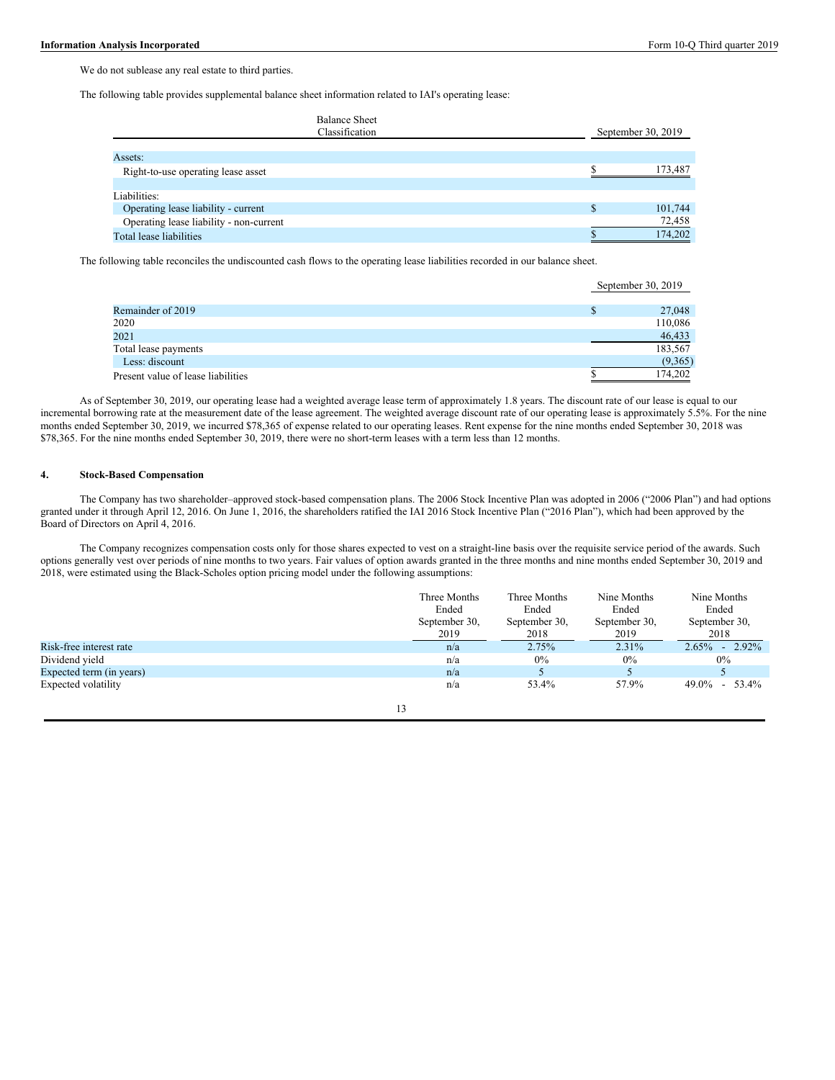We do not sublease any real estate to third parties.

The following table provides supplemental balance sheet information related to IAI's operating lease:

| <b>Balance Sheet</b><br>Classification  | September 30, 2019 |         |
|-----------------------------------------|--------------------|---------|
| Assets:                                 |                    |         |
| Right-to-use operating lease asset      |                    | 173.487 |
| Liabilities:                            |                    |         |
| Operating lease liability - current     | S                  | 101,744 |
| Operating lease liability - non-current |                    | 72,458  |
| Total lease liabilities                 |                    | 174,202 |

The following table reconciles the undiscounted cash flows to the operating lease liabilities recorded in our balance sheet.

|                                    |   | September 30, 2019 |
|------------------------------------|---|--------------------|
| Remainder of 2019                  | S | 27,048             |
| 2020                               |   | 110,086            |
| 2021                               |   | 46,433             |
| Total lease payments               |   | 183,567            |
| Less: discount                     |   | (9,365)            |
| Present value of lease liabilities |   | 174.202            |

As of September 30, 2019, our operating lease had a weighted average lease term of approximately 1.8 years. The discount rate of our lease is equal to our incremental borrowing rate at the measurement date of the lease agreement. The weighted average discount rate of our operating lease is approximately 5.5%. For the nine months ended September 30, 2019, we incurred \$78,365 of expense related to our operating leases. Rent expense for the nine months ended September 30, 2018 was \$78,365. For the nine months ended September 30, 2019, there were no short-term leases with a term less than 12 months.

### **4. Stock-Based Compensation**

The Company has two shareholder–approved stock-based compensation plans. The 2006 Stock Incentive Plan was adopted in 2006 ("2006 Plan") and had options granted under it through April 12, 2016. On June 1, 2016, the shareholders ratified the IAI 2016 Stock Incentive Plan ("2016 Plan"), which had been approved by the Board of Directors on April 4, 2016.

The Company recognizes compensation costs only for those shares expected to vest on a straight-line basis over the requisite service period of the awards. Such options generally vest over periods of nine months to two years. Fair values of option awards granted in the three months and nine months ended September 30, 2019 and 2018, were estimated using the Black-Scholes option pricing model under the following assumptions:

|                          | Three Months<br>Ended | Three Months<br>Ended | Nine Months<br>Ended  | Nine Months<br>Ended  |  |
|--------------------------|-----------------------|-----------------------|-----------------------|-----------------------|--|
|                          | September 30,<br>2019 | September 30,<br>2018 | September 30,<br>2019 | September 30,<br>2018 |  |
| Risk-free interest rate  | n/a                   | 2.75%                 | 2.31%                 | $2.65\% - 2.92\%$     |  |
| Dividend yield           | n/a                   | $0\%$                 | 0%                    | $0\%$                 |  |
| Expected term (in years) | n/a                   |                       |                       |                       |  |
| Expected volatility      | n/a                   | 53.4%                 | 57.9%                 | $49.0\% - 53.4\%$     |  |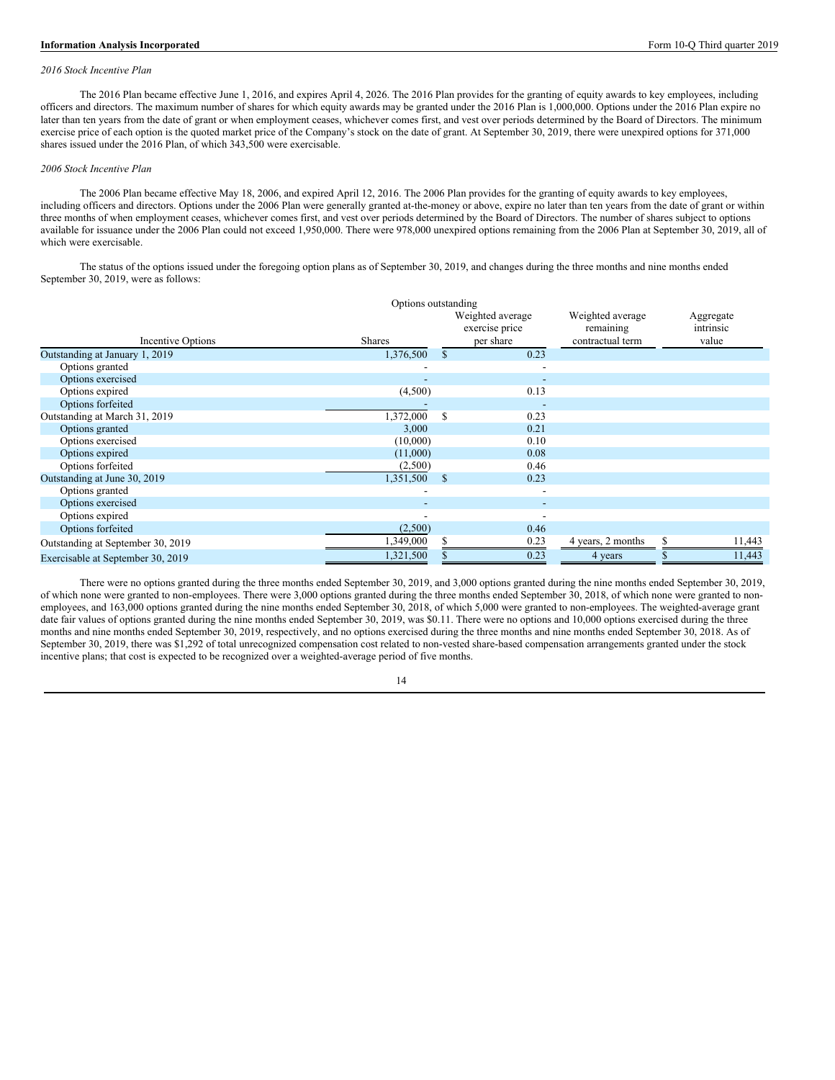#### *2016 Stock Incentive Plan*

The 2016 Plan became effective June 1, 2016, and expires April 4, 2026. The 2016 Plan provides for the granting of equity awards to key employees, including officers and directors. The maximum number of shares for which equity awards may be granted under the 2016 Plan is 1,000,000. Options under the 2016 Plan expire no later than ten years from the date of grant or when employment ceases, whichever comes first, and vest over periods determined by the Board of Directors. The minimum exercise price of each option is the quoted market price of the Company's stock on the date of grant. At September 30, 2019, there were unexpired options for 371,000 shares issued under the 2016 Plan, of which 343,500 were exercisable.

#### *2006 Stock Incentive Plan*

The 2006 Plan became effective May 18, 2006, and expired April 12, 2016. The 2006 Plan provides for the granting of equity awards to key employees, including officers and directors. Options under the 2006 Plan were generally granted at-the-money or above, expire no later than ten years from the date of grant or within three months of when employment ceases, whichever comes first, and vest over periods determined by the Board of Directors. The number of shares subject to options available for issuance under the 2006 Plan could not exceed 1,950,000. There were 978,000 unexpired options remaining from the 2006 Plan at September 30, 2019, all of which were exercisable.

The status of the options issued under the foregoing option plans as of September 30, 2019, and changes during the three months and nine months ended September 30, 2019, were as follows:

|                                   | Options outstanding |               |                                                 |                                                   |   |                                 |
|-----------------------------------|---------------------|---------------|-------------------------------------------------|---------------------------------------------------|---|---------------------------------|
| <b>Incentive Options</b>          | <b>Shares</b>       |               | Weighted average<br>exercise price<br>per share | Weighted average<br>remaining<br>contractual term |   | Aggregate<br>intrinsic<br>value |
| Outstanding at January 1, 2019    | 1,376,500           | <sup>S</sup>  | 0.23                                            |                                                   |   |                                 |
| Options granted                   |                     |               |                                                 |                                                   |   |                                 |
| Options exercised                 |                     |               |                                                 |                                                   |   |                                 |
| Options expired                   | (4,500)             |               | 0.13                                            |                                                   |   |                                 |
| Options forfeited                 |                     |               |                                                 |                                                   |   |                                 |
| Outstanding at March 31, 2019     | 1,372,000           | <sup>\$</sup> | 0.23                                            |                                                   |   |                                 |
| Options granted                   | 3,000               |               | 0.21                                            |                                                   |   |                                 |
| Options exercised                 | (10,000)            |               | 0.10                                            |                                                   |   |                                 |
| Options expired                   | (11,000)            |               | 0.08                                            |                                                   |   |                                 |
| Options forfeited                 | (2,500)             |               | 0.46                                            |                                                   |   |                                 |
| Outstanding at June 30, 2019      | 1,351,500           | -S            | 0.23                                            |                                                   |   |                                 |
| Options granted                   |                     |               |                                                 |                                                   |   |                                 |
| Options exercised                 |                     |               |                                                 |                                                   |   |                                 |
| Options expired                   |                     |               |                                                 |                                                   |   |                                 |
| Options forfeited                 | (2,500)             |               | 0.46                                            |                                                   |   |                                 |
| Outstanding at September 30, 2019 | 1,349,000           |               | 0.23                                            | 4 years, 2 months                                 | S | 11,443                          |
| Exercisable at September 30, 2019 | 1,321,500           |               | 0.23                                            | 4 years                                           |   | 11,443                          |

There were no options granted during the three months ended September 30, 2019, and 3,000 options granted during the nine months ended September 30, 2019, of which none were granted to non-employees. There were 3,000 options granted during the three months ended September 30, 2018, of which none were granted to nonemployees, and 163,000 options granted during the nine months ended September 30, 2018, of which 5,000 were granted to non-employees. The weighted-average grant date fair values of options granted during the nine months ended September 30, 2019, was \$0.11. There were no options and 10,000 options exercised during the three months and nine months ended September 30, 2019, respectively, and no options exercised during the three months and nine months ended September 30, 2018. As of September 30, 2019, there was \$1,292 of total unrecognized compensation cost related to non-vested share-based compensation arrangements granted under the stock incentive plans; that cost is expected to be recognized over a weighted-average period of five months.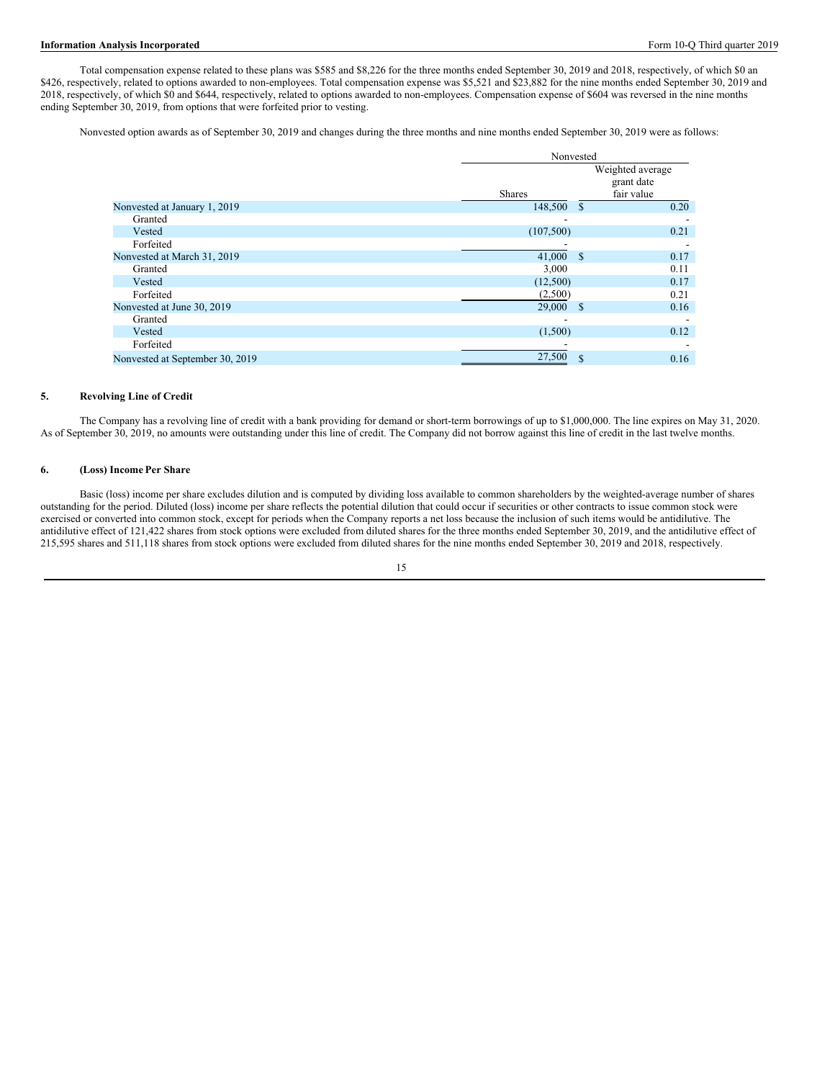Total compensation expense related to these plans was \$585 and \$8,226 for the three months ended September 30, 2019 and 2018, respectively, of which \$0 an \$426, respectively, related to options awarded to non-employees. Total compensation expense was \$5,521 and \$23,882 for the nine months ended September 30, 2019 and 2018, respectively, of which \$0 and \$644, respectively, related to options awarded to non-employees. Compensation expense of \$604 was reversed in the nine months ending September 30, 2019, from options that were forfeited prior to vesting.

Nonvested option awards as of September 30, 2019 and changes during the three months and nine months ended September 30, 2019 were as follows:

|                                 | Nonvested     |                                              |  |  |  |  |
|---------------------------------|---------------|----------------------------------------------|--|--|--|--|
|                                 | <b>Shares</b> | Weighted average<br>grant date<br>fair value |  |  |  |  |
| Nonvested at January 1, 2019    | 148,500       | 0.20<br><sup>S</sup>                         |  |  |  |  |
| Granted                         |               |                                              |  |  |  |  |
| Vested                          | (107,500)     | 0.21                                         |  |  |  |  |
| Forfeited                       |               |                                              |  |  |  |  |
| Nonvested at March 31, 2019     | $41,000$ \$   | 0.17                                         |  |  |  |  |
| Granted                         | 3,000         | 0.11                                         |  |  |  |  |
| Vested                          | (12,500)      | 0.17                                         |  |  |  |  |
| Forfeited                       | (2,500)       | 0.21                                         |  |  |  |  |
| Nonvested at June 30, 2019      | $29,000$ \$   | 0.16                                         |  |  |  |  |
| Granted                         |               |                                              |  |  |  |  |
| Vested                          | (1,500)       | 0.12                                         |  |  |  |  |
| Forfeited                       |               |                                              |  |  |  |  |
| Nonvested at September 30, 2019 | 27,500        | S<br>0.16                                    |  |  |  |  |
|                                 |               |                                              |  |  |  |  |

# **5. Revolving Line of Credit**

The Company has a revolving line of credit with a bank providing for demand or short-term borrowings of up to \$1,000,000. The line expires on May 31, 2020. As of September 30, 2019, no amounts were outstanding under this line of credit. The Company did not borrow against this line of credit in the last twelve months.

### **6. (Loss) Income Per Share**

Basic (loss) income per share excludes dilution and is computed by dividing loss available to common shareholders by the weighted-average number of shares outstanding for the period. Diluted (loss) income per share reflects the potential dilution that could occur if securities or other contracts to issue common stock were exercised or converted into common stock, except for periods when the Company reports a net loss because the inclusion of such items would be antidilutive. The antidilutive effect of 121,422 shares from stock options were excluded from diluted shares for the three months ended September 30, 2019, and the antidilutive effect of 215,595 shares and 511,118 shares from stock options were excluded from diluted shares for the nine months ended September 30, 2019 and 2018, respectively.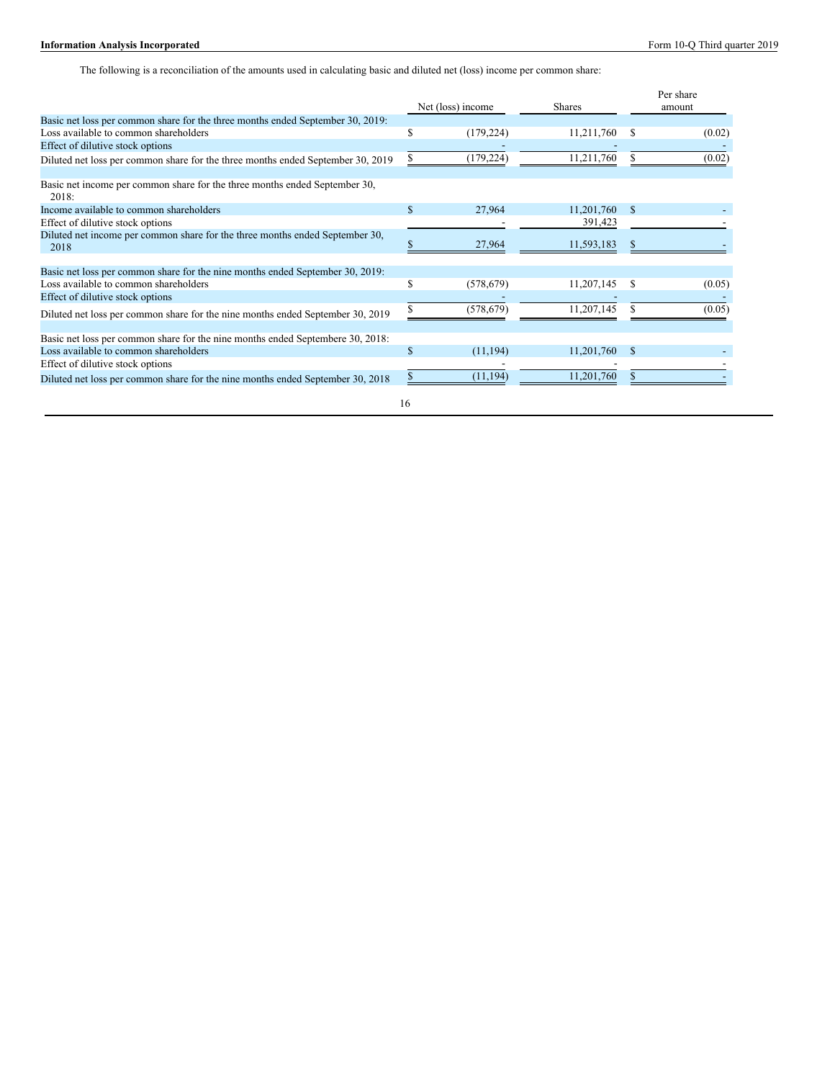The following is a reconciliation of the amounts used in calculating basic and diluted net (loss) income per common share:

|                                                                                     | Net (loss) income |            | <b>Shares</b> | Per share<br>amount |        |
|-------------------------------------------------------------------------------------|-------------------|------------|---------------|---------------------|--------|
| Basic net loss per common share for the three months ended September 30, 2019:      |                   |            |               |                     |        |
| Loss available to common shareholders                                               | \$                | (179, 224) | 11,211,760    |                     | (0.02) |
| Effect of dilutive stock options                                                    |                   |            |               |                     |        |
| Diluted net loss per common share for the three months ended September 30, 2019     |                   | (179, 224) | 11,211,760    |                     | (0.02) |
|                                                                                     |                   |            |               |                     |        |
| Basic net income per common share for the three months ended September 30,<br>2018: |                   |            |               |                     |        |
| Income available to common shareholders                                             | \$.               | 27,964     | 11,201,760    | -S                  |        |
| Effect of dilutive stock options                                                    |                   |            | 391,423       |                     |        |
| Diluted net income per common share for the three months ended September 30,        |                   |            |               |                     |        |
| 2018                                                                                |                   | 27,964     | 11,593,183    | $\mathcal{L}$       |        |
| Basic net loss per common share for the nine months ended September 30, 2019:       |                   |            |               |                     |        |
| Loss available to common shareholders                                               | \$                | (578, 679) | 11,207,145    | -S                  | (0.05) |
| Effect of dilutive stock options                                                    |                   |            |               |                     |        |
| Diluted net loss per common share for the nine months ended September 30, 2019      |                   | (578, 679) | 11,207,145    | \$.                 | (0.05) |
|                                                                                     |                   |            |               |                     |        |
| Basic net loss per common share for the nine months ended Septembere 30, 2018:      |                   |            |               |                     |        |
| Loss available to common shareholders                                               | \$                | (11, 194)  | 11,201,760    | -S                  |        |
| Effect of dilutive stock options                                                    |                   |            |               |                     |        |
| Diluted net loss per common share for the nine months ended September 30, 2018      |                   | (11, 194)  | 11,201,760    |                     |        |
|                                                                                     | 16                |            |               |                     |        |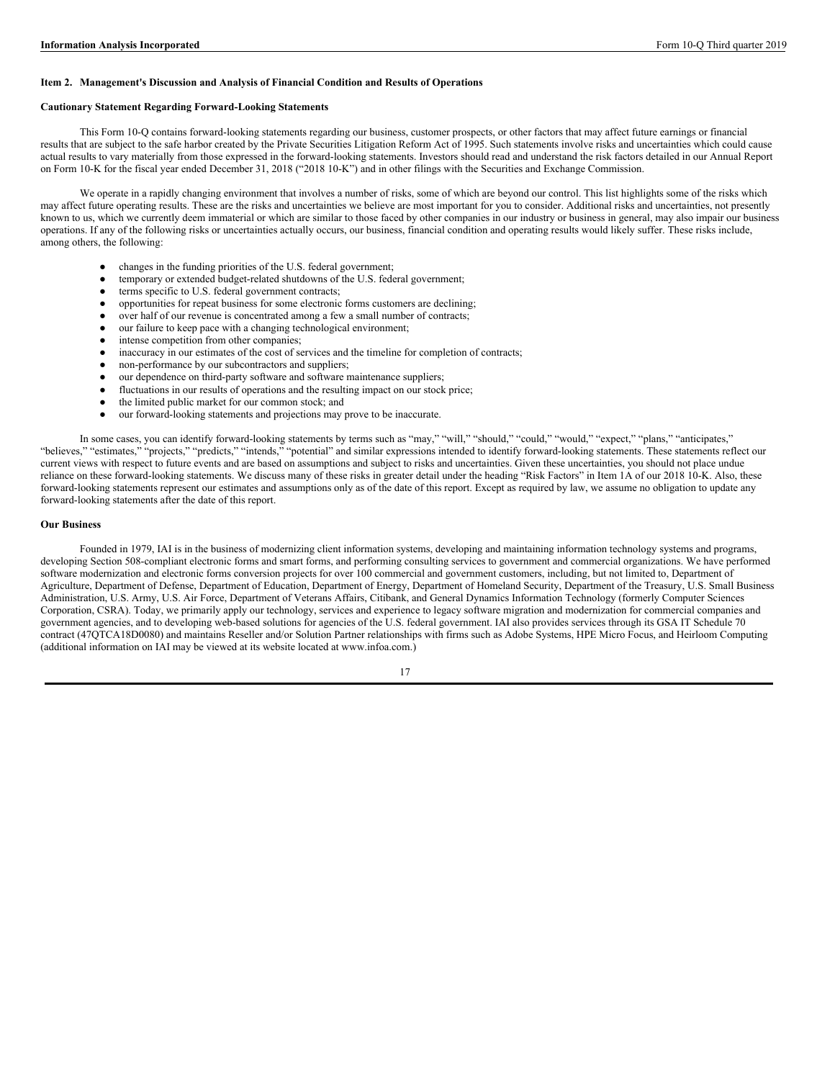### **Item 2. Management's Discussion and Analysis of Financial Condition and Results of Operations**

#### **Cautionary Statement Regarding Forward-Looking Statements**

This Form 10-Q contains forward-looking statements regarding our business, customer prospects, or other factors that may affect future earnings or financial results that are subject to the safe harbor created by the Private Securities Litigation Reform Act of 1995. Such statements involve risks and uncertainties which could cause actual results to vary materially from those expressed in the forward-looking statements. Investors should read and understand the risk factors detailed in our Annual Report on Form 10-K for the fiscal year ended December 31, 2018 ("2018 10-K") and in other filings with the Securities and Exchange Commission.

We operate in a rapidly changing environment that involves a number of risks, some of which are beyond our control. This list highlights some of the risks which may affect future operating results. These are the risks and uncertainties we believe are most important for you to consider. Additional risks and uncertainties, not presently known to us, which we currently deem immaterial or which are similar to those faced by other companies in our industry or business in general, may also impair our business operations. If any of the following risks or uncertainties actually occurs, our business, financial condition and operating results would likely suffer. These risks include, among others, the following:

- changes in the funding priorities of the U.S. federal government;
- temporary or extended budget-related shutdowns of the U.S. federal government;
- terms specific to U.S. federal government contracts;
- opportunities for repeat business for some electronic forms customers are declining;
- over half of our revenue is concentrated among a few a small number of contracts;
- our failure to keep pace with a changing technological environment;
- intense competition from other companies;
- inaccuracy in our estimates of the cost of services and the timeline for completion of contracts;
- non-performance by our subcontractors and suppliers;
- our dependence on third-party software and software maintenance suppliers;
- fluctuations in our results of operations and the resulting impact on our stock price;
- the limited public market for our common stock; and
- our forward-looking statements and projections may prove to be inaccurate.

In some cases, you can identify forward-looking statements by terms such as "may," "will," "should," "could," "would," "expect," "plans," "anticipates," "believes," "estimates," "projects," "predicts," "intends," "potential" and similar expressions intended to identify forward-looking statements. These statements reflect our current views with respect to future events and are based on assumptions and subject to risks and uncertainties. Given these uncertainties, you should not place undue reliance on these forward-looking statements. We discuss many of these risks in greater detail under the heading "Risk Factors" in Item 1A of our 2018 10-K. Also, these forward-looking statements represent our estimates and assumptions only as of the date of this report. Except as required by law, we assume no obligation to update any forward-looking statements after the date of this report.

### **Our Business**

Founded in 1979, IAI is in the business of modernizing client information systems, developing and maintaining information technology systems and programs, developing Section 508-compliant electronic forms and smart forms, and performing consulting services to government and commercial organizations. We have performed software modernization and electronic forms conversion projects for over 100 commercial and government customers, including, but not limited to, Department of Agriculture, Department of Defense, Department of Education, Department of Energy, Department of Homeland Security, Department of the Treasury, U.S. Small Business Administration, U.S. Army, U.S. Air Force, Department of Veterans Affairs, Citibank, and General Dynamics Information Technology (formerly Computer Sciences Corporation, CSRA). Today, we primarily apply our technology, services and experience to legacy software migration and modernization for commercial companies and government agencies, and to developing web-based solutions for agencies of the U.S. federal government. IAI also provides services through its GSA IT Schedule 70 contract (47QTCA18D0080) and maintains Reseller and/or Solution Partner relationships with firms such as Adobe Systems, HPE Micro Focus, and Heirloom Computing (additional information on IAI may be viewed at its website located at www.infoa.com.)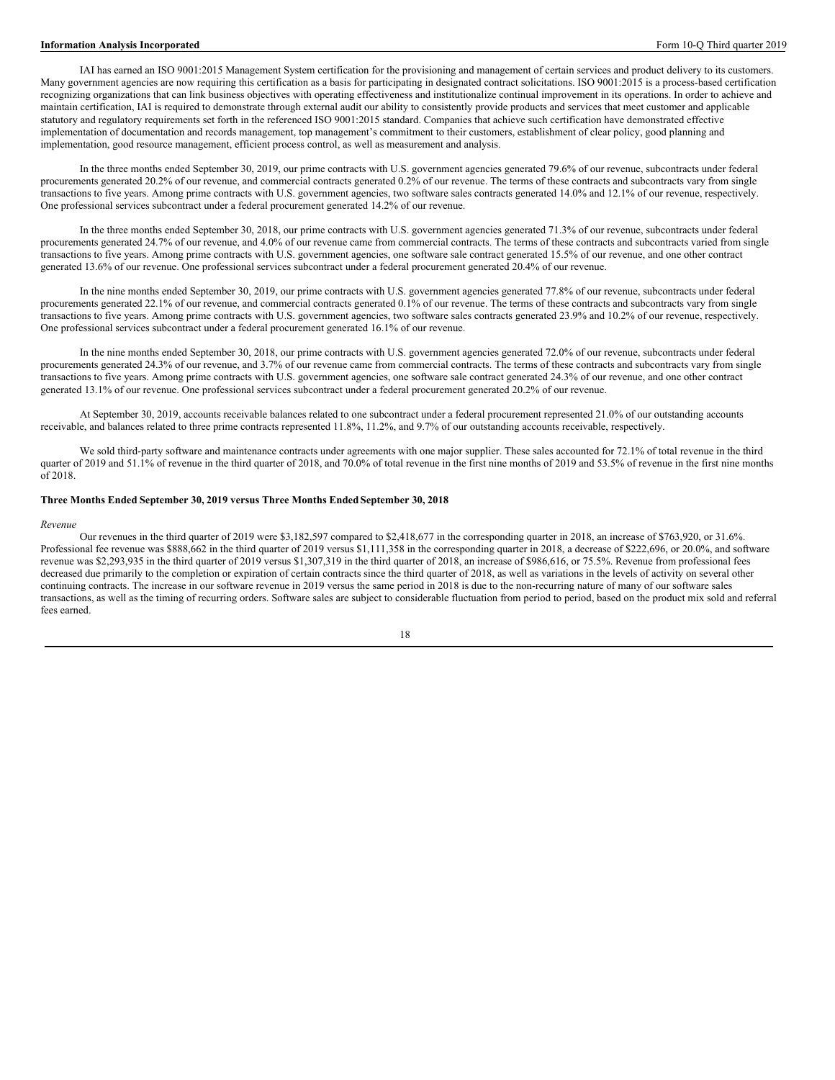### **Information Analysis Incorporated** Form 10-Q Third quarter 2019

IAI has earned an ISO 9001:2015 Management System certification for the provisioning and management of certain services and product delivery to its customers. Many government agencies are now requiring this certification as a basis for participating in designated contract solicitations. ISO 9001:2015 is a process-based certification recognizing organizations that can link business objectives with operating effectiveness and institutionalize continual improvement in its operations. In order to achieve and maintain certification, IAI is required to demonstrate through external audit our ability to consistently provide products and services that meet customer and applicable statutory and regulatory requirements set forth in the referenced ISO 9001:2015 standard. Companies that achieve such certification have demonstrated effective implementation of documentation and records management, top management's commitment to their customers, establishment of clear policy, good planning and implementation, good resource management, efficient process control, as well as measurement and analysis.

In the three months ended September 30, 2019, our prime contracts with U.S. government agencies generated 79.6% of our revenue, subcontracts under federal procurements generated 20.2% of our revenue, and commercial contracts generated 0.2% of our revenue. The terms of these contracts and subcontracts vary from single transactions to five years. Among prime contracts with U.S. government agencies, two software sales contracts generated 14.0% and 12.1% of our revenue, respectively. One professional services subcontract under a federal procurement generated 14.2% of our revenue.

In the three months ended September 30, 2018, our prime contracts with U.S. government agencies generated 71.3% of our revenue, subcontracts under federal procurements generated 24.7% of our revenue, and 4.0% of our revenue came from commercial contracts. The terms of these contracts and subcontracts varied from single transactions to five years. Among prime contracts with U.S. government agencies, one software sale contract generated 15.5% of our revenue, and one other contract generated 13.6% of our revenue. One professional services subcontract under a federal procurement generated 20.4% of our revenue.

In the nine months ended September 30, 2019, our prime contracts with U.S. government agencies generated 77.8% of our revenue, subcontracts under federal procurements generated 22.1% of our revenue, and commercial contracts generated 0.1% of our revenue. The terms of these contracts and subcontracts vary from single transactions to five years. Among prime contracts with U.S. government agencies, two software sales contracts generated 23.9% and 10.2% of our revenue, respectively. One professional services subcontract under a federal procurement generated 16.1% of our revenue.

In the nine months ended September 30, 2018, our prime contracts with U.S. government agencies generated 72.0% of our revenue, subcontracts under federal procurements generated 24.3% of our revenue, and 3.7% of our revenue came from commercial contracts. The terms of these contracts and subcontracts vary from single transactions to five years. Among prime contracts with U.S. government agencies, one software sale contract generated 24.3% of our revenue, and one other contract generated 13.1% of our revenue. One professional services subcontract under a federal procurement generated 20.2% of our revenue.

At September 30, 2019, accounts receivable balances related to one subcontract under a federal procurement represented 21.0% of our outstanding accounts receivable, and balances related to three prime contracts represented 11.8%, 11.2%, and 9.7% of our outstanding accounts receivable, respectively.

We sold third-party software and maintenance contracts under agreements with one major supplier. These sales accounted for 72.1% of total revenue in the third quarter of 2019 and 51.1% of revenue in the third quarter of 2018, and 70.0% of total revenue in the first nine months of 2019 and 53.5% of revenue in the first nine months of 2018.

### **Three Months Ended September 30, 2019 versus Three Months Ended September 30, 2018**

#### *Revenue*

Our revenues in the third quarter of 2019 were \$3,182,597 compared to \$2,418,677 in the corresponding quarter in 2018, an increase of \$763,920, or 31.6%. Professional fee revenue was \$888,662 in the third quarter of 2019 versus \$1,111,358 in the corresponding quarter in 2018, a decrease of \$222,696, or 20.0%, and software revenue was \$2,293,935 in the third quarter of 2019 versus \$1,307,319 in the third quarter of 2018, an increase of \$986,616, or 75.5%. Revenue from professional fees decreased due primarily to the completion or expiration of certain contracts since the third quarter of 2018, as well as variations in the levels of activity on several other continuing contracts. The increase in our software revenue in 2019 versus the same period in 2018 is due to the non-recurring nature of many of our software sales transactions, as well as the timing of recurring orders. Software sales are subject to considerable fluctuation from period to period, based on the product mix sold and referral fees earned.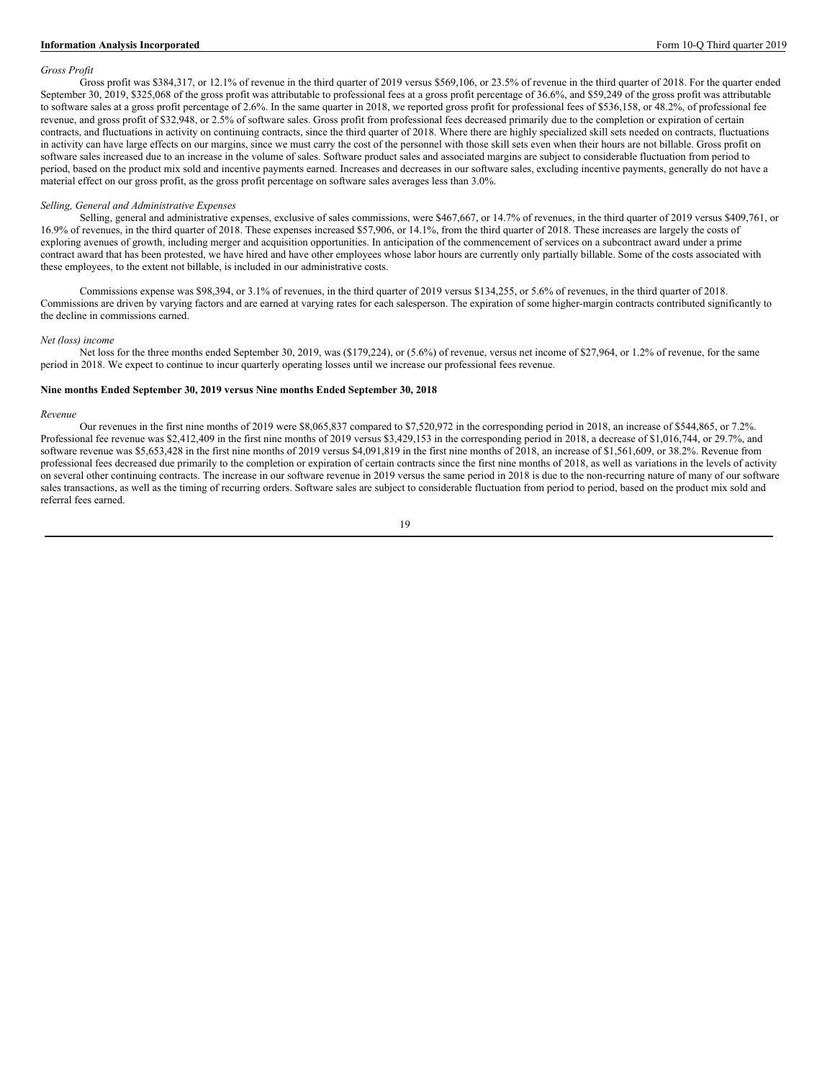#### *Gross Profit*

Gross profit was \$384,317, or 12.1% of revenue in the third quarter of 2019 versus \$569,106, or 23.5% of revenue in the third quarter of 2018. For the quarter ended September 30, 2019, \$325,068 of the gross profit was attributable to professional fees at a gross profit percentage of 36.6%, and \$59,249 of the gross profit was attributable to software sales at a gross profit percentage of 2.6%. In the same quarter in 2018, we reported gross profit for professional fees of \$536,158, or 48.2%, of professional fee revenue, and gross profit of \$32,948, or 2.5% of software sales. Gross profit from professional fees decreased primarily due to the completion or expiration of certain contracts, and fluctuations in activity on continuing contracts, since the third quarter of 2018. Where there are highly specialized skill sets needed on contracts, fluctuations in activity can have large effects on our margins, since we must carry the cost of the personnel with those skill sets even when their hours are not billable. Gross profit on software sales increased due to an increase in the volume of sales. Software product sales and associated margins are subject to considerable fluctuation from period to period, based on the product mix sold and incentive payments earned. Increases and decreases in our software sales, excluding incentive payments, generally do not have a material effect on our gross profit, as the gross profit percentage on software sales averages less than 3.0%.

### *Selling, General and Administrative Expenses*

Selling, general and administrative expenses, exclusive of sales commissions, were \$467,667, or 14.7% of revenues, in the third quarter of 2019 versus \$409,761, or 16.9% of revenues, in the third quarter of 2018. These expenses increased \$57,906, or 14.1%, from the third quarter of 2018. These increases are largely the costs of exploring avenues of growth, including merger and acquisition opportunities. In anticipation of the commencement of services on a subcontract award under a prime contract award that has been protested, we have hired and have other employees whose labor hours are currently only partially billable. Some of the costs associated with these employees, to the extent not billable, is included in our administrative costs.

Commissions expense was \$98,394, or 3.1% of revenues, in the third quarter of 2019 versus \$134,255, or 5.6% of revenues, in the third quarter of 2018. Commissions are driven by varying factors and are earned at varying rates for each salesperson. The expiration of some higher-margin contracts contributed significantly to the decline in commissions earned.

#### *Net (loss) income*

Net loss for the three months ended September 30, 2019, was (\$179,224), or (5.6%) of revenue, versus net income of \$27,964, or 1.2% of revenue, for the same period in 2018. We expect to continue to incur quarterly operating losses until we increase our professional fees revenue.

### **Nine months Ended September 30, 2019 versus Nine months Ended September 30, 2018**

#### *Revenue*

Our revenues in the first nine months of 2019 were \$8,065,837 compared to \$7,520,972 in the corresponding period in 2018, an increase of \$544,865, or 7.2%. Professional fee revenue was \$2,412,409 in the first nine months of 2019 versus \$3,429,153 in the corresponding period in 2018, a decrease of \$1,016,744, or 29.7%, and software revenue was \$5,653,428 in the first nine months of 2019 versus \$4,091,819 in the first nine months of 2018, an increase of \$1,561,609, or 38.2%. Revenue from professional fees decreased due primarily to the completion or expiration of certain contracts since the first nine months of 2018, as well as variations in the levels of activity on several other continuing contracts. The increase in our software revenue in 2019 versus the same period in 2018 is due to the non-recurring nature of many of our software sales transactions, as well as the timing of recurring orders. Software sales are subject to considerable fluctuation from period to period, based on the product mix sold and referral fees earned.

$$
19 \\
$$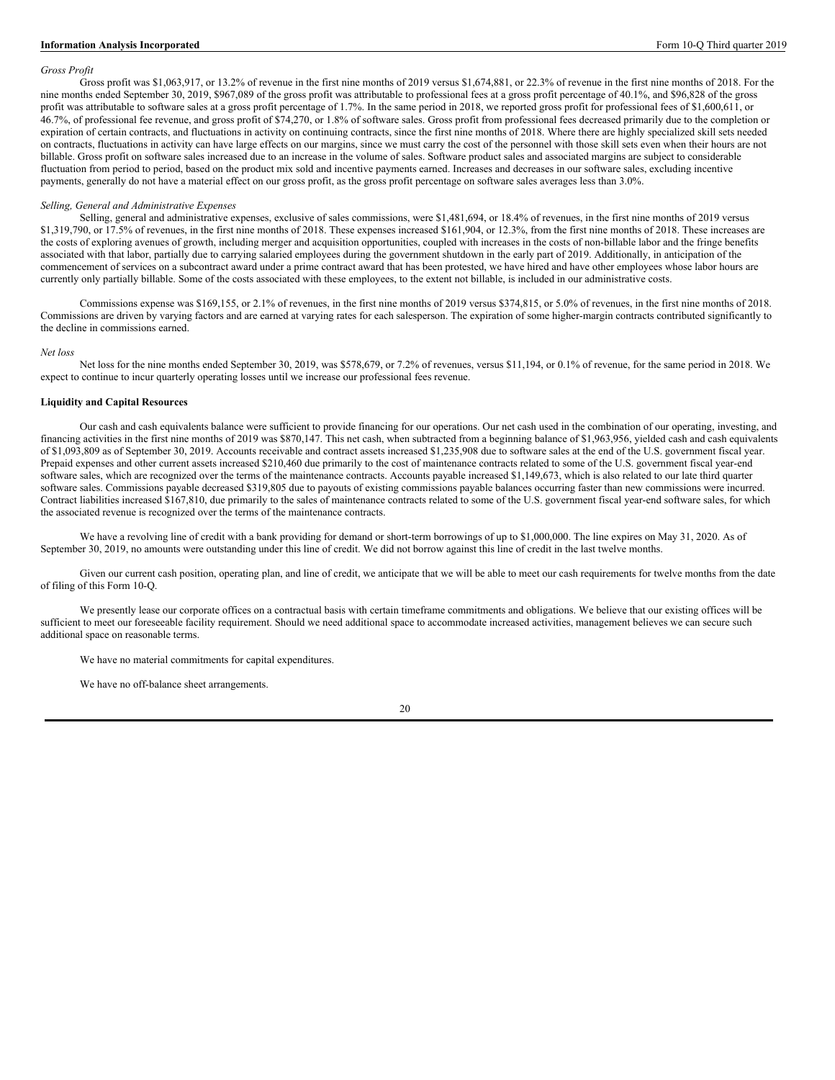#### *Gross Profit*

Gross profit was \$1,063,917, or 13.2% of revenue in the first nine months of 2019 versus \$1,674,881, or 22.3% of revenue in the first nine months of 2018. For the nine months ended September 30, 2019, \$967,089 of the gross profit was attributable to professional fees at a gross profit percentage of 40.1%, and \$96,828 of the gross profit was attributable to software sales at a gross profit percentage of 1.7%. In the same period in 2018, we reported gross profit for professional fees of \$1,600,611, or 46.7%, of professional fee revenue, and gross profit of \$74,270, or 1.8% of software sales. Gross profit from professional fees decreased primarily due to the completion or expiration of certain contracts, and fluctuations in activity on continuing contracts, since the first nine months of 2018. Where there are highly specialized skill sets needed on contracts, fluctuations in activity can have large effects on our margins, since we must carry the cost of the personnel with those skill sets even when their hours are not billable. Gross profit on software sales increased due to an increase in the volume of sales. Software product sales and associated margins are subject to considerable fluctuation from period to period, based on the product mix sold and incentive payments earned. Increases and decreases in our software sales, excluding incentive payments, generally do not have a material effect on our gross profit, as the gross profit percentage on software sales averages less than 3.0%.

#### *Selling, General and Administrative Expenses*

Selling, general and administrative expenses, exclusive of sales commissions, were \$1,481,694, or 18.4% of revenues, in the first nine months of 2019 versus \$1,319,790, or 17.5% of revenues, in the first nine months of 2018. These expenses increased \$161,904, or 12.3%, from the first nine months of 2018. These increases are the costs of exploring avenues of growth, including merger and acquisition opportunities, coupled with increases in the costs of non-billable labor and the fringe benefits associated with that labor, partially due to carrying salaried employees during the government shutdown in the early part of 2019. Additionally, in anticipation of the commencement of services on a subcontract award under a prime contract award that has been protested, we have hired and have other employees whose labor hours are currently only partially billable. Some of the costs associated with these employees, to the extent not billable, is included in our administrative costs.

Commissions expense was \$169,155, or 2.1% of revenues, in the first nine months of 2019 versus \$374,815, or 5.0% of revenues, in the first nine months of 2018. Commissions are driven by varying factors and are earned at varying rates for each salesperson. The expiration of some higher-margin contracts contributed significantly to the decline in commissions earned.

#### *Net loss*

Net loss for the nine months ended September 30, 2019, was \$578,679, or 7.2% of revenues, versus \$11,194, or 0.1% of revenue, for the same period in 2018. We expect to continue to incur quarterly operating losses until we increase our professional fees revenue.

### **Liquidity and Capital Resources**

Our cash and cash equivalents balance were sufficient to provide financing for our operations. Our net cash used in the combination of our operating, investing, and financing activities in the first nine months of 2019 was \$870,147. This net cash, when subtracted from a beginning balance of \$1,963,956, yielded cash and cash equivalents of \$1,093,809 as of September 30, 2019. Accounts receivable and contract assets increased \$1,235,908 due to software sales at the end of the U.S. government fiscal year. Prepaid expenses and other current assets increased \$210,460 due primarily to the cost of maintenance contracts related to some of the U.S. government fiscal year-end software sales, which are recognized over the terms of the maintenance contracts. Accounts payable increased \$1,149,673, which is also related to our late third quarter software sales. Commissions payable decreased \$319,805 due to payouts of existing commissions payable balances occurring faster than new commissions were incurred. Contract liabilities increased \$167,810, due primarily to the sales of maintenance contracts related to some of the U.S. government fiscal year-end software sales, for which the associated revenue is recognized over the terms of the maintenance contracts.

We have a revolving line of credit with a bank providing for demand or short-term borrowings of up to \$1,000,000. The line expires on May 31, 2020. As of September 30, 2019, no amounts were outstanding under this line of credit. We did not borrow against this line of credit in the last twelve months.

Given our current cash position, operating plan, and line of credit, we anticipate that we will be able to meet our cash requirements for twelve months from the date of filing of this Form 10-Q.

We presently lease our corporate offices on a contractual basis with certain timeframe commitments and obligations. We believe that our existing offices will be sufficient to meet our foreseeable facility requirement. Should we need additional space to accommodate increased activities, management believes we can secure such additional space on reasonable terms.

We have no material commitments for capital expenditures.

We have no off-balance sheet arrangements.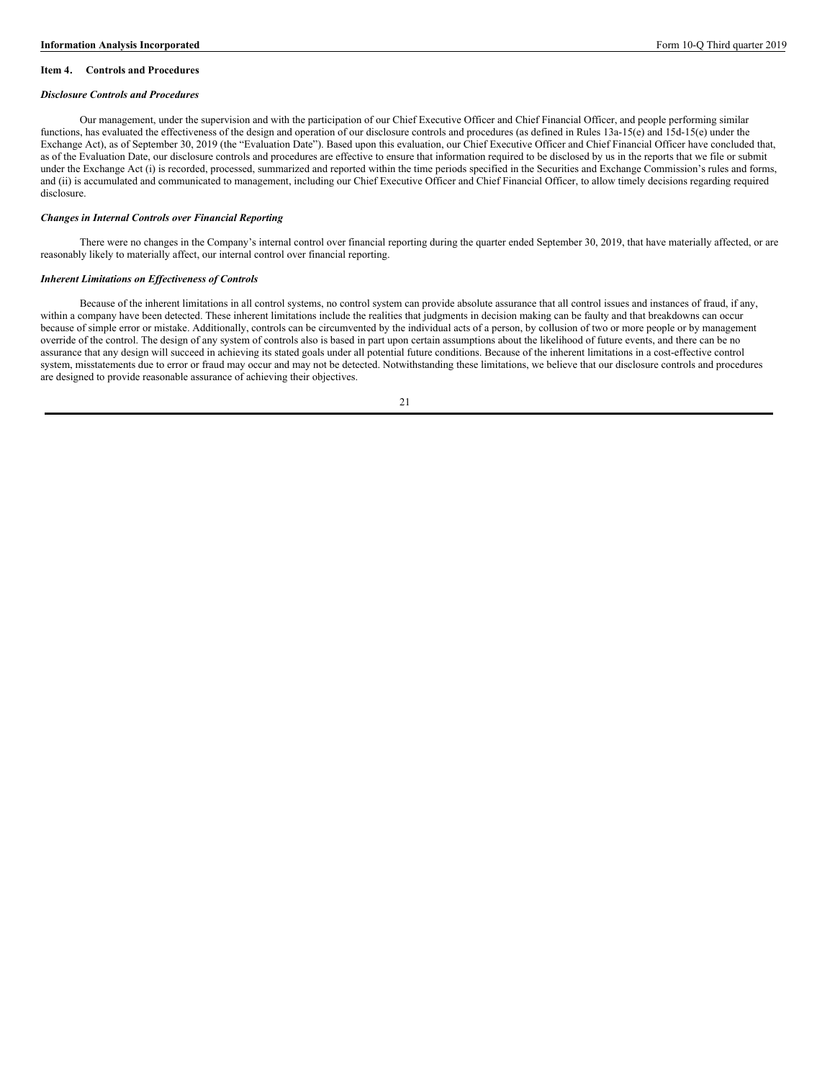#### **Item 4. Controls and Procedures**

### *Disclosure Controls and Procedures*

Our management, under the supervision and with the participation of our Chief Executive Officer and Chief Financial Officer, and people performing similar functions, has evaluated the effectiveness of the design and operation of our disclosure controls and procedures (as defined in Rules 13a-15(e) and 15d-15(e) under the Exchange Act), as of September 30, 2019 (the "Evaluation Date"). Based upon this evaluation, our Chief Executive Officer and Chief Financial Officer have concluded that, as of the Evaluation Date, our disclosure controls and procedures are effective to ensure that information required to be disclosed by us in the reports that we file or submit under the Exchange Act (i) is recorded, processed, summarized and reported within the time periods specified in the Securities and Exchange Commission's rules and forms, and (ii) is accumulated and communicated to management, including our Chief Executive Officer and Chief Financial Officer, to allow timely decisions regarding required disclosure.

#### *Changes in Internal Controls over Financial Reporting*

There were no changes in the Company's internal control over financial reporting during the quarter ended September 30, 2019, that have materially affected, or are reasonably likely to materially affect, our internal control over financial reporting.

### *Inherent Limitations on Ef ectiveness of Controls*

Because of the inherent limitations in all control systems, no control system can provide absolute assurance that all control issues and instances of fraud, if any, within a company have been detected. These inherent limitations include the realities that judgments in decision making can be faulty and that breakdowns can occur because of simple error or mistake. Additionally, controls can be circumvented by the individual acts of a person, by collusion of two or more people or by management override of the control. The design of any system of controls also is based in part upon certain assumptions about the likelihood of future events, and there can be no assurance that any design will succeed in achieving its stated goals under all potential future conditions. Because of the inherent limitations in a cost-effective control system, misstatements due to error or fraud may occur and may not be detected. Notwithstanding these limitations, we believe that our disclosure controls and procedures are designed to provide reasonable assurance of achieving their objectives.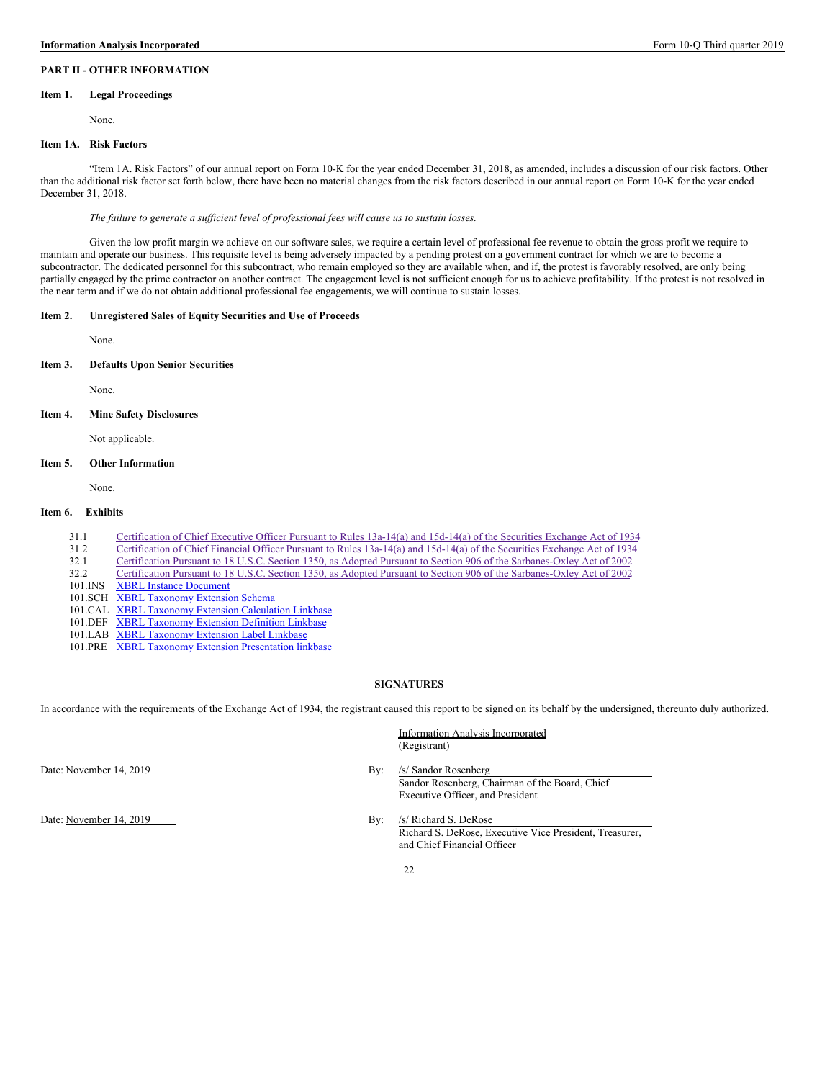# **PART II - OTHER INFORMATION**

### **Item 1. Legal Proceedings**

None.

### **Item 1A. Risk Factors**

"Item 1A. Risk Factors" of our annual report on Form 10-K for the year ended December 31, 2018, as amended, includes a discussion of our risk factors. Other than the additional risk factor set forth below, there have been no material changes from the risk factors described in our annual report on Form 10-K for the year ended December 31, 2018.

### *The failure to generate a suf icient level of professional fees will cause us to sustain losses.*

Given the low profit margin we achieve on our software sales, we require a certain level of professional fee revenue to obtain the gross profit we require to maintain and operate our business. This requisite level is being adversely impacted by a pending protest on a government contract for which we are to become a subcontractor. The dedicated personnel for this subcontract, who remain employed so they are available when, and if, the protest is favorably resolved, are only being partially engaged by the prime contractor on another contract. The engagement level is not sufficient enough for us to achieve profitability. If the protest is not resolved in the near term and if we do not obtain additional professional fee engagements, we will continue to sustain losses.

### **Item 2. Unregistered Sales of Equity Securities and Use of Proceeds**

None.

**Item 3. Defaults Upon Senior Securities**

None.

### **Item 4. Mine Safety Disclosures**

Not applicable.

# **Item 5. Other Information**

None.

### **Item 6. Exhibits**

- 31.1 [Certification](#page-22-0) of Chief Executive Officer Pursuant to Rules 13a-14(a) and 15d-14(a) of the Securities Exchange Act of 1934
- 31.2 [Certification](#page-23-0) of Chief Financial Officer Pursuant to Rules 13a-14(a) and 15d-14(a) of the Securities Exchange Act of 1934<br>32.1 Certification Pursuant to 18 U.S.C. Section 1350, as Adopted Pursuant to Section 906 of th
- 32.1 Certification Pursuant to 18 U.S.C. Section 1350, as Adopted Pursuant to Section 906 of the [Sarbanes-Oxley](#page-24-0) Act of 2002<br>32.2 Certification Pursuant to 18 U.S.C. Section 1350, as Adopted Pursuant to Section 906 of the S
- 32.2 Certification Pursuant to 18 U.S.C. Section 1350, as Adopted Pursuant to Section 906 of the [Sarbanes-Oxley](#page-25-0) Act of 2002
- 101.INS XBRL Instance [Document](file:///tmp/tmp20220315-30339-1fniesf/iaic-20190930.xml)
- 101.SCH XBRL [Taxonomy](file:///tmp/tmp20220315-30339-1fniesf/iaic-20190930.xsd) Extension Schema
- 101.CAL XBRL Taxonomy Extension [Calculation](file:///tmp/tmp20220315-30339-1fniesf/iaic-20190930_cal.xml) Linkbase
- 101.DEF XBRL [Taxonomy](file:///tmp/tmp20220315-30339-1fniesf/iaic-20190930_def.xml) Extension Definition Linkbase
- 101.LAB XBRL [Taxonomy](file:///tmp/tmp20220315-30339-1fniesf/iaic-20190930_lab.xml) Extension Label Linkbase
- 101.PRE XBRL Taxonomy Extension [Presentation](file:///tmp/tmp20220315-30339-1fniesf/iaic-20190930_pre.xml) linkbase

# **SIGNATURES**

In accordance with the requirements of the Exchange Act of 1934, the registrant caused this report to be signed on its behalf by the undersigned, thereunto duly authorized.

Information Analysis Incorporated (Registrant)

Date: <u>November 14, 2019</u> By: /s/ Sandor Rosenberg Sandor Rosenberg, Chairman of the Board, Chief Executive Officer, and President

Date: November 14, 2019 By: /s/ Richard S. DeRose Richard S. DeRose, Executive Vice President, Treasurer, and Chief Financial Officer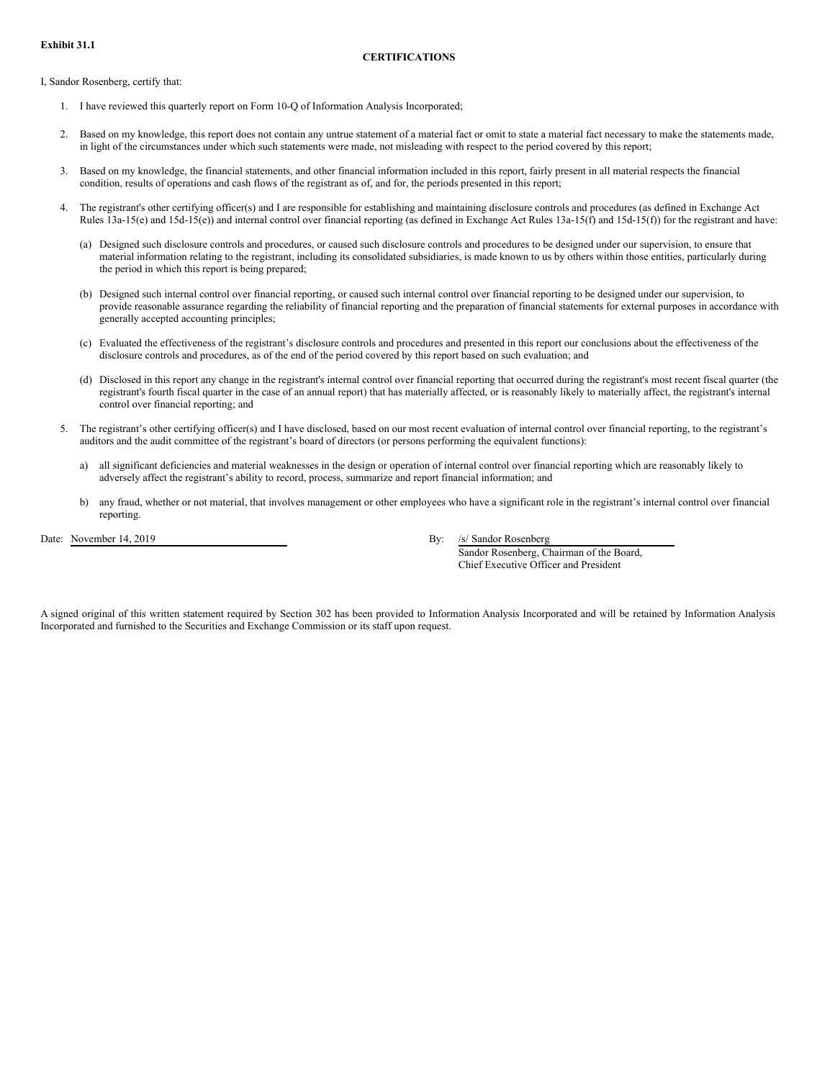# **CERTIFICATIONS**

<span id="page-22-0"></span>I, Sandor Rosenberg, certify that:

- 1. I have reviewed this quarterly report on Form 10-Q of Information Analysis Incorporated;
- 2. Based on my knowledge, this report does not contain any untrue statement of a material fact or omit to state a material fact necessary to make the statements made, in light of the circumstances under which such statements were made, not misleading with respect to the period covered by this report;
- 3. Based on my knowledge, the financial statements, and other financial information included in this report, fairly present in all material respects the financial condition, results of operations and cash flows of the registrant as of, and for, the periods presented in this report;
- 4. The registrant's other certifying officer(s) and I are responsible for establishing and maintaining disclosure controls and procedures (as defined in Exchange Act Rules  $13a-15(e)$  and  $15d-15(e)$ ) and internal control over financial reporting (as defined in Exchange Act Rules  $13a-15(f)$  and  $15d-15(f)$ ) for the registrant and have:
	- (a) Designed such disclosure controls and procedures, or caused such disclosure controls and procedures to be designed under our supervision, to ensure that material information relating to the registrant, including its consolidated subsidiaries, is made known to us by others within those entities, particularly during the period in which this report is being prepared;
	- (b) Designed such internal control over financial reporting, or caused such internal control over financial reporting to be designed under our supervision, to provide reasonable assurance regarding the reliability of financial reporting and the preparation of financial statements for external purposes in accordance with generally accepted accounting principles;
	- (c) Evaluated the effectiveness of the registrant's disclosure controls and procedures and presented in this report our conclusions about the effectiveness of the disclosure controls and procedures, as of the end of the period covered by this report based on such evaluation; and
	- (d) Disclosed in this report any change in the registrant's internal control over financial reporting that occurred during the registrant's most recent fiscal quarter (the registrant's fourth fiscal quarter in the case of an annual report) that has materially affected, or is reasonably likely to materially affect, the registrant's internal control over financial reporting; and
- 5. The registrant's other certifying officer(s) and I have disclosed, based on our most recent evaluation of internal control over financial reporting, to the registrant's auditors and the audit committee of the registrant's board of directors (or persons performing the equivalent functions):
	- a) all significant deficiencies and material weaknesses in the design or operation of internal control over financial reporting which are reasonably likely to adversely affect the registrant's ability to record, process, summarize and report financial information; and
	- b) any fraud, whether or not material, that involves management or other employees who have a significant role in the registrant's internal control over financial reporting.

Date: November 14, 2019 By: /s/ Sandor Rosenberg

Sandor Rosenberg, Chairman of the Board, Chief Executive Officer and President

A signed original of this written statement required by Section 302 has been provided to Information Analysis Incorporated and will be retained by Information Analysis Incorporated and furnished to the Securities and Exchange Commission or its staff upon request.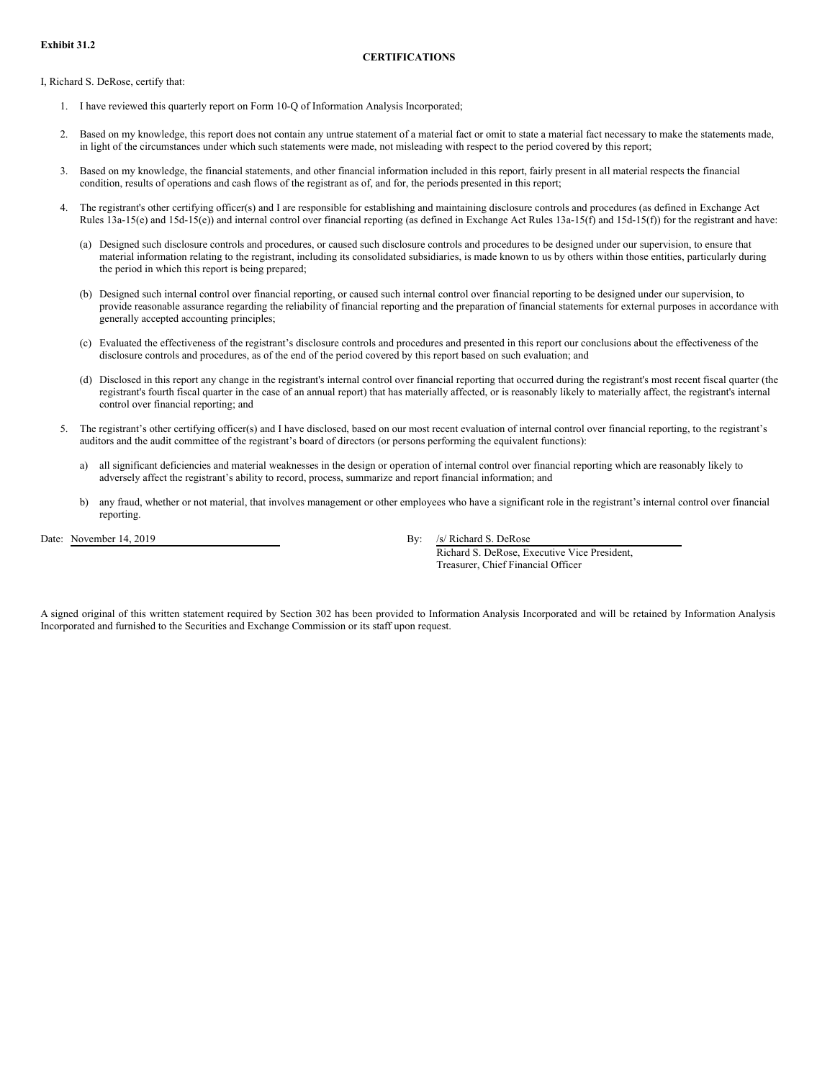# **CERTIFICATIONS**

<span id="page-23-0"></span>I, Richard S. DeRose, certify that:

- 1. I have reviewed this quarterly report on Form 10-Q of Information Analysis Incorporated;
- 2. Based on my knowledge, this report does not contain any untrue statement of a material fact or omit to state a material fact necessary to make the statements made, in light of the circumstances under which such statements were made, not misleading with respect to the period covered by this report;
- 3. Based on my knowledge, the financial statements, and other financial information included in this report, fairly present in all material respects the financial condition, results of operations and cash flows of the registrant as of, and for, the periods presented in this report;
- 4. The registrant's other certifying officer(s) and I are responsible for establishing and maintaining disclosure controls and procedures (as defined in Exchange Act Rules  $13a-15(e)$  and  $15d-15(e)$ ) and internal control over financial reporting (as defined in Exchange Act Rules  $13a-15(f)$  and  $15d-15(f)$ ) for the registrant and have:
	- (a) Designed such disclosure controls and procedures, or caused such disclosure controls and procedures to be designed under our supervision, to ensure that material information relating to the registrant, including its consolidated subsidiaries, is made known to us by others within those entities, particularly during the period in which this report is being prepared;
	- (b) Designed such internal control over financial reporting, or caused such internal control over financial reporting to be designed under our supervision, to provide reasonable assurance regarding the reliability of financial reporting and the preparation of financial statements for external purposes in accordance with generally accepted accounting principles;
	- (c) Evaluated the effectiveness of the registrant's disclosure controls and procedures and presented in this report our conclusions about the effectiveness of the disclosure controls and procedures, as of the end of the period covered by this report based on such evaluation; and
	- (d) Disclosed in this report any change in the registrant's internal control over financial reporting that occurred during the registrant's most recent fiscal quarter (the registrant's fourth fiscal quarter in the case of an annual report) that has materially affected, or is reasonably likely to materially affect, the registrant's internal control over financial reporting; and
- 5. The registrant's other certifying officer(s) and I have disclosed, based on our most recent evaluation of internal control over financial reporting, to the registrant's auditors and the audit committee of the registrant's board of directors (or persons performing the equivalent functions):
	- a) all significant deficiencies and material weaknesses in the design or operation of internal control over financial reporting which are reasonably likely to adversely affect the registrant's ability to record, process, summarize and report financial information; and
	- b) any fraud, whether or not material, that involves management or other employees who have a significant role in the registrant's internal control over financial reporting.

Date: November 14, 2019 By: /s/ Richard S. DeRose

Richard S. DeRose, Executive Vice President, Treasurer, Chief Financial Officer

A signed original of this written statement required by Section 302 has been provided to Information Analysis Incorporated and will be retained by Information Analysis Incorporated and furnished to the Securities and Exchange Commission or its staff upon request.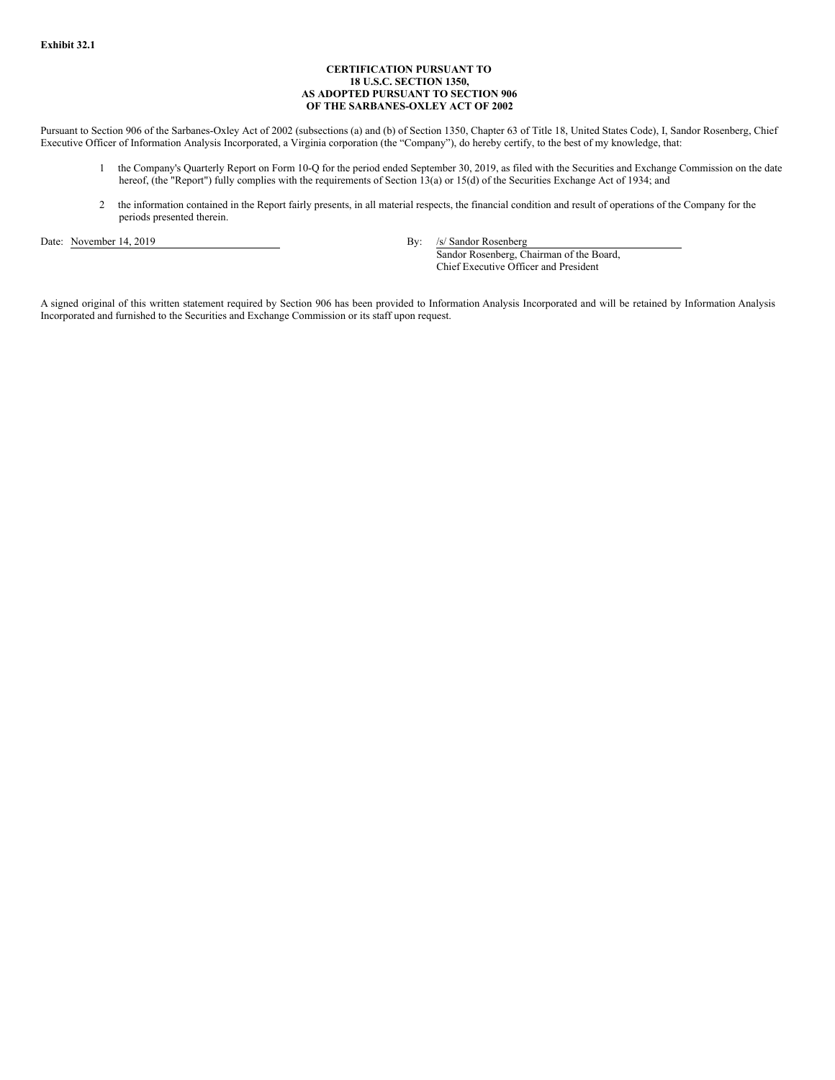# **CERTIFICATION PURSUANT TO 18 U.S.C. SECTION 1350, AS ADOPTED PURSUANT TO SECTION 906 OF THE SARBANES-OXLEY ACT OF 2002**

<span id="page-24-0"></span>Pursuant to Section 906 of the Sarbanes-Oxley Act of 2002 (subsections (a) and (b) of Section 1350, Chapter 63 of Title 18, United States Code), I, Sandor Rosenberg, Chief Executive Officer of Information Analysis Incorporated, a Virginia corporation (the "Company"), do hereby certify, to the best of my knowledge, that:

- 1 the Company's Quarterly Report on Form 10-Q for the period ended September 30, 2019, as filed with the Securities and Exchange Commission on the date hereof, (the "Report") fully complies with the requirements of Section 13(a) or 15(d) of the Securities Exchange Act of 1934; and
- 2 the information contained in the Report fairly presents, in all material respects, the financial condition and result of operations of the Company for the periods presented therein.

Date: November 14, 2019 By: /s/ Sandor Rosenberg

Sandor Rosenberg, Chairman of the Board, Chief Executive Officer and President

A signed original of this written statement required by Section 906 has been provided to Information Analysis Incorporated and will be retained by Information Analysis Incorporated and furnished to the Securities and Exchange Commission or its staff upon request.